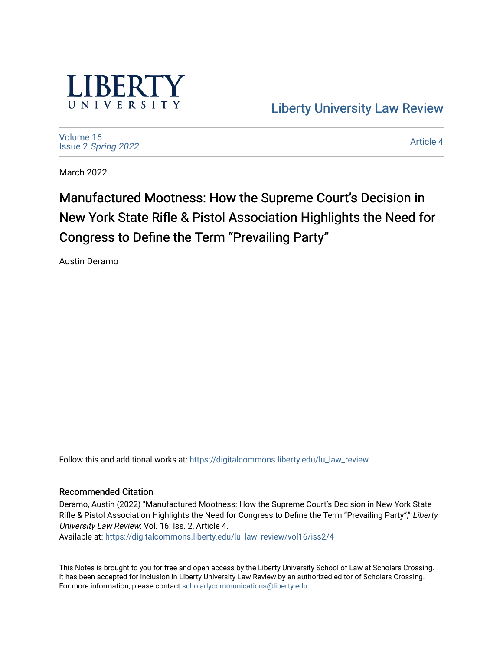

[Liberty University Law Review](https://digitalcommons.liberty.edu/lu_law_review) 

[Volume 16](https://digitalcommons.liberty.edu/lu_law_review/vol16) Issue 2 [Spring 2022](https://digitalcommons.liberty.edu/lu_law_review/vol16/iss2) 

[Article 4](https://digitalcommons.liberty.edu/lu_law_review/vol16/iss2/4) 

March 2022

Manufactured Mootness: How the Supreme Court's Decision in New York State Rifle & Pistol Association Highlights the Need for Congress to Define the Term "Prevailing Party"

Austin Deramo

Follow this and additional works at: [https://digitalcommons.liberty.edu/lu\\_law\\_review](https://digitalcommons.liberty.edu/lu_law_review?utm_source=digitalcommons.liberty.edu%2Flu_law_review%2Fvol16%2Fiss2%2F4&utm_medium=PDF&utm_campaign=PDFCoverPages) 

# Recommended Citation

Deramo, Austin (2022) "Manufactured Mootness: How the Supreme Court's Decision in New York State Rifle & Pistol Association Highlights the Need for Congress to Define the Term "Prevailing Party"," Liberty University Law Review: Vol. 16: Iss. 2, Article 4.

Available at: [https://digitalcommons.liberty.edu/lu\\_law\\_review/vol16/iss2/4](https://digitalcommons.liberty.edu/lu_law_review/vol16/iss2/4?utm_source=digitalcommons.liberty.edu%2Flu_law_review%2Fvol16%2Fiss2%2F4&utm_medium=PDF&utm_campaign=PDFCoverPages) 

This Notes is brought to you for free and open access by the Liberty University School of Law at Scholars Crossing. It has been accepted for inclusion in Liberty University Law Review by an authorized editor of Scholars Crossing. For more information, please contact [scholarlycommunications@liberty.edu](mailto:scholarlycommunications@liberty.edu).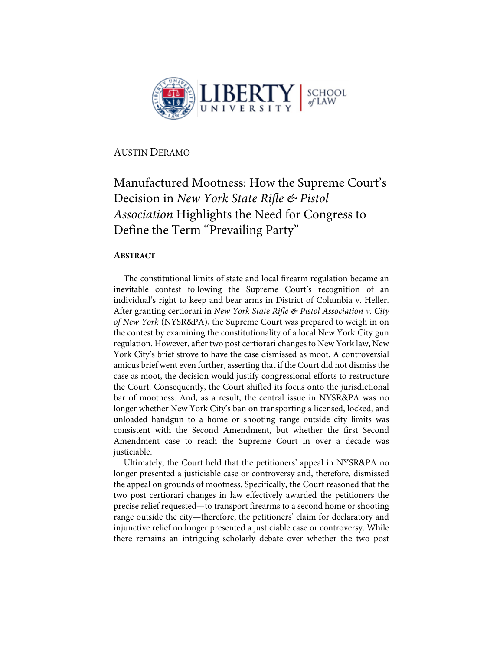

AUSTIN DERAMO

# Manufactured Mootness: How the Supreme Court's Decision in *New York State Rifle & Pistol Association* Highlights the Need for Congress to Define the Term "Prevailing Party"

# **ABSTRACT**

The constitutional limits of state and local firearm regulation became an inevitable contest following the Supreme Court's recognition of an individual's right to keep and bear arms in District of Columbia v. Heller. After granting certiorari in *New York State Rifle & Pistol Association v. City of New York* (NYSR&PA), the Supreme Court was prepared to weigh in on the contest by examining the constitutionality of a local New York City gun regulation. However, after two post certiorari changes to New York law, New York City's brief strove to have the case dismissed as moot. A controversial amicus brief went even further, asserting that if the Court did not dismiss the case as moot, the decision would justify congressional efforts to restructure the Court. Consequently, the Court shifted its focus onto the jurisdictional bar of mootness. And, as a result, the central issue in NYSR&PA was no longer whether New York City's ban on transporting a licensed, locked, and unloaded handgun to a home or shooting range outside city limits was consistent with the Second Amendment, but whether the first Second Amendment case to reach the Supreme Court in over a decade was justiciable.

Ultimately, the Court held that the petitioners' appeal in NYSR&PA no longer presented a justiciable case or controversy and, therefore, dismissed the appeal on grounds of mootness. Specifically, the Court reasoned that the two post certiorari changes in law effectively awarded the petitioners the precise relief requested—to transport firearms to a second home or shooting range outside the city—therefore, the petitioners' claim for declaratory and injunctive relief no longer presented a justiciable case or controversy. While there remains an intriguing scholarly debate over whether the two post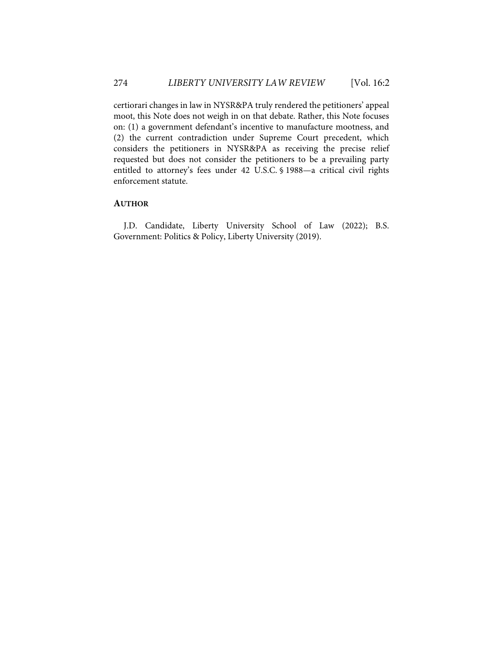certiorari changes in law in NYSR&PA truly rendered the petitioners' appeal moot, this Note does not weigh in on that debate. Rather, this Note focuses on: (1) a government defendant's incentive to manufacture mootness, and (2) the current contradiction under Supreme Court precedent, which considers the petitioners in NYSR&PA as receiving the precise relief requested but does not consider the petitioners to be a prevailing party entitled to attorney's fees under 42 U.S.C. § 1988—a critical civil rights enforcement statute.

## **AUTHOR**

J.D. Candidate, Liberty University School of Law (2022); B.S. Government: Politics & Policy, Liberty University (2019).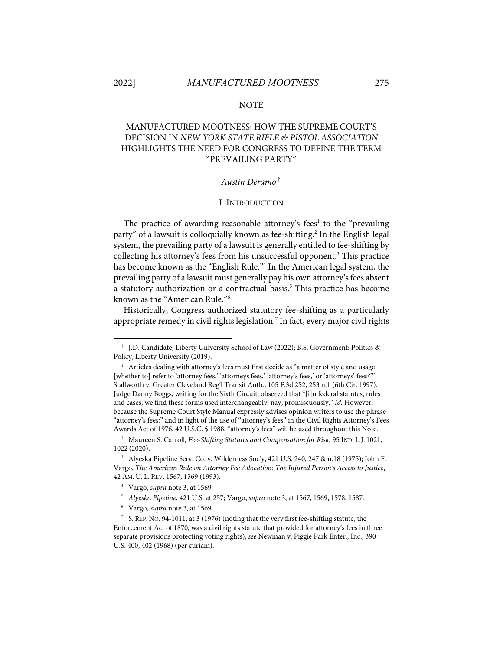#### **NOTE**

# MANUFACTURED MOOTNESS: HOW THE SUPREME COURT'S DECISION IN *NEW YORK STATE RIFLE & PISTOL ASSOCIATION* HIGHLIGHTS THE NEED FOR CONGRESS TO DEFINE THE TERM "PREVAILING PARTY"

#### *Austin Deramo*†

#### I. INTRODUCTION

The practice of awarding reasonable attorney's fees<sup>1</sup> to the "prevailing" party" of a lawsuit is colloquially known as fee-shifting. <sup>2</sup> In the English legal system, the prevailing party of a lawsuit is generally entitled to fee-shifting by collecting his attorney's fees from his unsuccessful opponent.3 This practice has become known as the "English Rule."<sup>4</sup> In the American legal system, the prevailing party of a lawsuit must generally pay his own attorney's fees absent a statutory authorization or a contractual basis. <sup>5</sup> This practice has become known as the "American Rule."6

Historically, Congress authorized statutory fee-shifting as a particularly appropriate remedy in civil rights legislation. <sup>7</sup> In fact, every major civil rights

<sup>†</sup> J.D. Candidate, Liberty University School of Law (2022); B.S. Government: Politics & Policy, Liberty University (2019).

 $1$  Articles dealing with attorney's fees must first decide as "a matter of style and usage [whether to] refer to 'attorney fees,' 'attorneys fees,' 'attorney's fees,' or 'attorneys' fees?'" Stallworth v. Greater Cleveland Reg'l Transit Auth., 105 F.3d 252, 253 n.1 (6th Cir. 1997). Judge Danny Boggs, writing for the Sixth Circuit, observed that "[i]n federal statutes, rules and cases, we find these forms used interchangeably, nay, promiscuously." *Id.* However, because the Supreme Court Style Manual expressly advises opinion writers to use the phrase "attorney's fees;" and in light of the use of "attorney's fees" in the Civil Rights Attorney's Fees Awards Act of 1976, 42 U.S.C. § 1988, "attorney's fees" will be used throughout this Note.

<sup>2</sup> Maureen S. Carroll, *Fee-Shifting Statutes and Compensation for Risk*, 95 IND. L.J. 1021, 1022 (2020).

<sup>3</sup> Alyeska Pipeline Serv. Co. v. Wilderness Soc'y, 421 U.S. 240, 247 & n.18 (1975); John F. Vargo, *The American Rule on Attorney Fee Allocation: The Injured Person's Access to Justice*, 42 AM. U. L. REV. 1567, 1569 (1993).

<sup>4</sup> Vargo, *supra* note 3, at 1569.

<sup>5</sup> *Alyeska Pipeline*, 421 U.S. at 257; Vargo, *supra* note 3, at 1567, 1569, 1578, 1587.

<sup>6</sup> Vargo, *supra* note 3, at 1569.

<sup>7</sup> S. REP. NO. 94-1011, at 3 (1976) (noting that the very first fee-shifting statute, the Enforcement Act of 1870, was a civil rights statute that provided for attorney's fees in three separate provisions protecting voting rights); *see* Newman v. Piggie Park Enter., Inc., 390 U.S. 400, 402 (1968) (per curiam).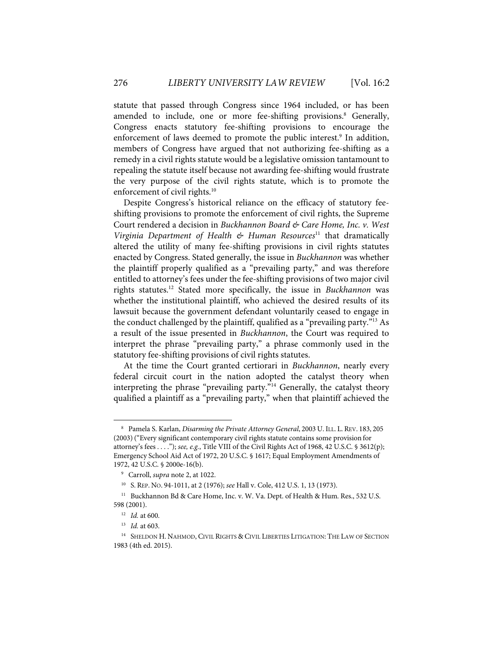statute that passed through Congress since 1964 included, or has been amended to include, one or more fee-shifting provisions. <sup>8</sup> Generally, Congress enacts statutory fee-shifting provisions to encourage the enforcement of laws deemed to promote the public interest.<sup>9</sup> In addition, members of Congress have argued that not authorizing fee-shifting as a remedy in a civil rights statute would be a legislative omission tantamount to repealing the statute itself because not awarding fee-shifting would frustrate the very purpose of the civil rights statute, which is to promote the enforcement of civil rights.<sup>10</sup>

Despite Congress's historical reliance on the efficacy of statutory feeshifting provisions to promote the enforcement of civil rights, the Supreme Court rendered a decision in *Buckhannon Board & Care Home, Inc. v. West Virginia Department of Health & Human Resources*<sup>11</sup> that dramatically altered the utility of many fee-shifting provisions in civil rights statutes enacted by Congress. Stated generally, the issue in *Buckhannon* was whether the plaintiff properly qualified as a "prevailing party," and was therefore entitled to attorney's fees under the fee-shifting provisions of two major civil rights statutes. <sup>12</sup> Stated more specifically, the issue in *Buckhannon* was whether the institutional plaintiff, who achieved the desired results of its lawsuit because the government defendant voluntarily ceased to engage in the conduct challenged by the plaintiff, qualified as a "prevailing party."13 As a result of the issue presented in *Buckhannon*, the Court was required to interpret the phrase "prevailing party," a phrase commonly used in the statutory fee-shifting provisions of civil rights statutes.

At the time the Court granted certiorari in *Buckhannon*, nearly every federal circuit court in the nation adopted the catalyst theory when interpreting the phrase "prevailing party."<sup>14</sup> Generally, the catalyst theory qualified a plaintiff as a "prevailing party," when that plaintiff achieved the

<sup>8</sup> Pamela S. Karlan, *Disarming the Private Attorney General*, 2003 U. ILL. L. REV. 183, 205 (2003)("Every significant contemporary civil rights statute contains some provision for attorney's fees . . . ."); *see, e.g.*, Title VIII of the Civil Rights Act of 1968, 42 U.S.C. § 3612(p); Emergency School Aid Act of 1972, 20 U.S.C. § 1617; Equal Employment Amendments of 1972, 42 U.S.C. § 2000e-16(b).

<sup>9</sup> Carroll, *supra* note 2, at 1022.

<sup>10</sup> S. REP. NO. 94-1011, at 2 (1976); *see* Hall v. Cole, 412 U.S. 1, 13 (1973).

<sup>&</sup>lt;sup>11</sup> Buckhannon Bd & Care Home, Inc. v. W. Va. Dept. of Health & Hum. Res., 532 U.S. 598 (2001).

<sup>12</sup> *Id.* at 600.

<sup>13</sup> *Id.* at 603.

<sup>14</sup> SHELDON H. NAHMOD, CIVIL RIGHTS & CIVIL LIBERTIES LITIGATION: THE LAW OF SECTION 1983 (4th ed. 2015).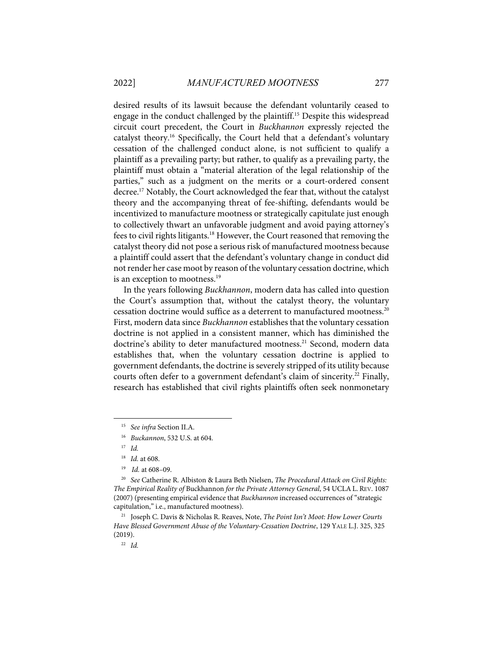desired results of its lawsuit because the defendant voluntarily ceased to engage in the conduct challenged by the plaintiff.15 Despite this widespread circuit court precedent, the Court in *Buckhannon* expressly rejected the catalyst theory.16 Specifically, the Court held that a defendant's voluntary cessation of the challenged conduct alone, is not sufficient to qualify a plaintiff as a prevailing party; but rather, to qualify as a prevailing party, the plaintiff must obtain a "material alteration of the legal relationship of the parties," such as a judgment on the merits or a court-ordered consent decree. <sup>17</sup> Notably, the Court acknowledged the fear that, without the catalyst theory and the accompanying threat of fee-shifting, defendants would be incentivized to manufacture mootness or strategically capitulate just enough to collectively thwart an unfavorable judgment and avoid paying attorney's fees to civil rights litigants.18 However, the Court reasoned that removing the catalyst theory did not pose a serious risk of manufactured mootness because a plaintiff could assert that the defendant's voluntary change in conduct did not render her case moot by reason of the voluntary cessation doctrine, which is an exception to mootness.<sup>19</sup>

In the years following *Buckhannon*, modern data has called into question the Court's assumption that, without the catalyst theory, the voluntary cessation doctrine would suffice as a deterrent to manufactured mootness.<sup>20</sup> First, modern data since *Buckhannon* establishes that the voluntary cessation doctrine is not applied in a consistent manner, which has diminished the doctrine's ability to deter manufactured mootness. <sup>21</sup> Second, modern data establishes that, when the voluntary cessation doctrine is applied to government defendants, the doctrine is severely stripped of its utility because courts often defer to a government defendant's claim of sincerity.<sup>22</sup> Finally, research has established that civil rights plaintiffs often seek nonmonetary

<sup>15</sup> *See infra* Section II.A.

<sup>16</sup> *Buckannon*, 532 U.S. at 604.

<sup>17</sup> *Id.*

<sup>18</sup> *Id.* at 608.

<sup>19</sup> *Id.* at 608–09.

<sup>20</sup> *See* Catherine R. Albiston & Laura Beth Nielsen, *The Procedural Attack on Civil Rights: The Empirical Reality of* Buckhannon *for the Private Attorney General*, 54 UCLAL. REV. 1087 (2007) (presenting empirical evidence that *Buckhannon* increased occurrences of "strategic capitulation," i.e., manufactured mootness).

<sup>21</sup> Joseph C. Davis & Nicholas R. Reaves, Note, *The Point Isn't Moot: How Lower Courts Have Blessed Government Abuse of the Voluntary-Cessation Doctrine*, 129 YALE L.J. 325, 325 (2019).

<sup>22</sup> *Id.*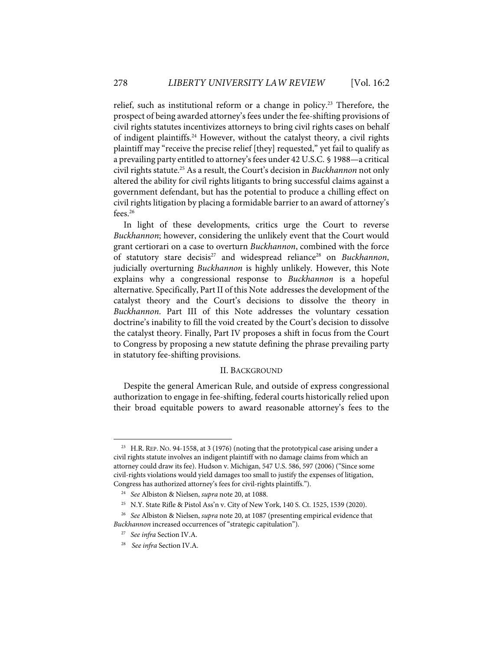relief, such as institutional reform or a change in policy.23 Therefore, the prospect of being awarded attorney's fees under the fee-shifting provisions of civil rights statutes incentivizes attorneys to bring civil rights cases on behalf of indigent plaintiffs. <sup>24</sup> However, without the catalyst theory, a civil rights plaintiff may "receive the precise relief [they] requested," yet fail to qualify as a prevailing party entitled to attorney's fees under 42 U.S.C. § 1988—a critical civil rights statute.25 As a result, the Court's decision in *Buckhannon* not only altered the ability for civil rights litigants to bring successful claims against a government defendant, but has the potential to produce a chilling effect on civil rights litigation by placing a formidable barrier to an award of attorney's fees. 26

In light of these developments, critics urge the Court to reverse *Buckhannon*; however, considering the unlikely event that the Court would grant certiorari on a case to overturn *Buckhannon*, combined with the force of statutory stare decisis<sup>27</sup> and widespread reliance<sup>28</sup> on *Buckhannon*, judicially overturning *Buckhannon* is highly unlikely. However, this Note explains why a congressional response to *Buckhannon* is a hopeful alternative. Specifically, Part II of this Note addresses the development of the catalyst theory and the Court's decisions to dissolve the theory in *Buckhannon*. Part III of this Note addresses the voluntary cessation doctrine's inability to fill the void created by the Court's decision to dissolve the catalyst theory. Finally, Part IV proposes a shift in focus from the Court to Congress by proposing a new statute defining the phrase prevailing party in statutory fee-shifting provisions.

#### II. BACKGROUND

Despite the general American Rule, and outside of express congressional authorization to engage in fee-shifting, federal courts historically relied upon their broad equitable powers to award reasonable attorney's fees to the

 $23$  H.R. REP. No. 94-1558, at 3 (1976) (noting that the prototypical case arising under a civil rights statute involves an indigent plaintiff with no damage claims from which an attorney could draw its fee). Hudson v. Michigan, 547 U.S. 586, 597 (2006) ("Since some civil-rights violations would yield damages too small to justify the expenses of litigation, Congress has authorized attorney's fees for civil-rights plaintiffs.").

<sup>24</sup> *See* Albiston & Nielsen, *supra* note 20, at 1088.

<sup>&</sup>lt;sup>25</sup> N.Y. State Rifle & Pistol Ass'n v. City of New York, 140 S. Ct. 1525, 1539 (2020).

<sup>26</sup> *See* Albiston & Nielsen, *supra* note 20, at 1087 (presenting empirical evidence that *Buckhannon* increased occurrences of "strategic capitulation").

<sup>27</sup> *See infra* Section IV.A.

<sup>28</sup> *See infra* Section IV.A.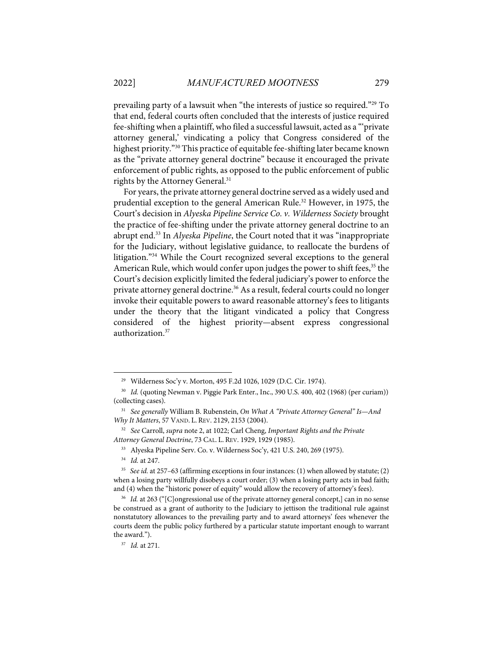prevailing party of a lawsuit when "the interests of justice so required."29 To that end, federal courts often concluded that the interests of justice required fee-shifting when a plaintiff, who filed a successful lawsuit, acted as a "'private attorney general,' vindicating a policy that Congress considered of the highest priority."30 This practice of equitable fee-shifting later became known as the "private attorney general doctrine" because it encouraged the private enforcement of public rights, as opposed to the public enforcement of public rights by the Attorney General.<sup>31</sup>

For years, the private attorney general doctrine served as a widely used and prudential exception to the general American Rule.<sup>32</sup> However, in 1975, the Court's decision in *Alyeska Pipeline Service Co. v. Wilderness Society* brought the practice of fee-shifting under the private attorney general doctrine to an abrupt end.33 In *Alyeska Pipeline*, the Court noted that it was "inappropriate for the Judiciary, without legislative guidance, to reallocate the burdens of litigation."34 While the Court recognized several exceptions to the general American Rule, which would confer upon judges the power to shift fees, <sup>35</sup> the Court's decision explicitly limited the federal judiciary's power to enforce the private attorney general doctrine. <sup>36</sup> As a result, federal courts could no longer invoke their equitable powers to award reasonable attorney's fees to litigants under the theory that the litigant vindicated a policy that Congress considered of the highest priority—absent express congressional authorization. 37

<sup>29</sup> Wilderness Soc'y v. Morton, 495 F.2d 1026, 1029 (D.C. Cir. 1974).

<sup>&</sup>lt;sup>30</sup> *Id.* (quoting Newman v. Piggie Park Enter., Inc., 390 U.S. 400, 402 (1968) (per curiam)) (collecting cases).

<sup>31</sup> *See generally* William B. Rubenstein, *On What A "Private Attorney General" Is—And Why It Matters*, 57 VAND. L. REV. 2129, 2153 (2004).

<sup>32</sup> *See* Carroll, *supra* note 2, at 1022; Carl Cheng, *Important Rights and the Private Attorney General Doctrine*, 73 CAL. L. REV. 1929, 1929 (1985).

<sup>33</sup> Alyeska Pipeline Serv. Co. v. Wilderness Soc'y, 421 U.S. 240, 269 (1975).

<sup>34</sup> *Id.* at 247.

<sup>35</sup> *See id.* at 257–63 (affirming exceptions in four instances: (1) when allowed by statute; (2) when a losing party willfully disobeys a court order; (3) when a losing party acts in bad faith; and (4) when the "historic power of equity" would allow the recovery of attorney's fees).

<sup>&</sup>lt;sup>36</sup> *Id.* at 263 ("[C]ongressional use of the private attorney general concept,] can in no sense be construed as a grant of authority to the Judiciary to jettison the traditional rule against nonstatutory allowances to the prevailing party and to award attorneys' fees whenever the courts deem the public policy furthered by a particular statute important enough to warrant the award.").

<sup>37</sup> *Id.* at 271.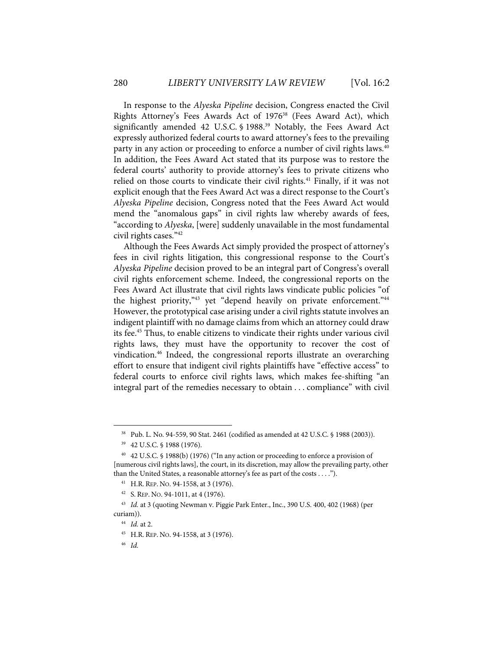In response to the *Alyeska Pipeline* decision, Congress enacted the Civil Rights Attorney's Fees Awards Act of 1976<sup>38</sup> (Fees Award Act), which significantly amended 42 U.S.C. § 1988. <sup>39</sup> Notably, the Fees Award Act expressly authorized federal courts to award attorney's fees to the prevailing party in any action or proceeding to enforce a number of civil rights laws.<sup>40</sup> In addition, the Fees Award Act stated that its purpose was to restore the federal courts' authority to provide attorney's fees to private citizens who relied on those courts to vindicate their civil rights.<sup>41</sup> Finally, if it was not explicit enough that the Fees Award Act was a direct response to the Court's *Alyeska Pipeline* decision, Congress noted that the Fees Award Act would mend the "anomalous gaps" in civil rights law whereby awards of fees, "according to *Alyeska*, [were] suddenly unavailable in the most fundamental civil rights cases."42

Although the Fees Awards Act simply provided the prospect of attorney's fees in civil rights litigation, this congressional response to the Court's *Alyeska Pipeline* decision proved to be an integral part of Congress's overall civil rights enforcement scheme. Indeed, the congressional reports on the Fees Award Act illustrate that civil rights laws vindicate public policies "of the highest priority,<sup>343</sup> yet "depend heavily on private enforcement.<sup>344</sup> However, the prototypical case arising under a civil rights statute involves an indigent plaintiff with no damage claims from which an attorney could draw its fee.45 Thus, to enable citizens to vindicate their rights under various civil rights laws, they must have the opportunity to recover the cost of vindication.46 Indeed, the congressional reports illustrate an overarching effort to ensure that indigent civil rights plaintiffs have "effective access" to federal courts to enforce civil rights laws, which makes fee-shifting "an integral part of the remedies necessary to obtain . . . compliance" with civil

<sup>38</sup> Pub. L. No. 94-559, 90 Stat. 2461 (codified as amended at 42 U.S.C. § 1988 (2003)).

<sup>39 42</sup> U.S.C. § 1988 (1976).

<sup>40 42</sup> U.S.C. § 1988(b) (1976) ("In any action or proceeding to enforce a provision of [numerous civil rights laws], the court, in its discretion, may allow the prevailing party, other than the United States, a reasonable attorney's fee as part of the costs . . . .").

<sup>41</sup> H.R. REP. NO. 94-1558, at 3 (1976).

<sup>42</sup> S. REP. NO. 94-1011, at 4 (1976).

<sup>43</sup> *Id.* at 3 (quoting Newman v. Piggie Park Enter., Inc., 390 U.S. 400, 402 (1968) (per curiam)).

<sup>44</sup> *Id.* at 2.

<sup>45</sup> H.R. REP. NO. 94-1558, at 3 (1976).

<sup>46</sup> *Id.*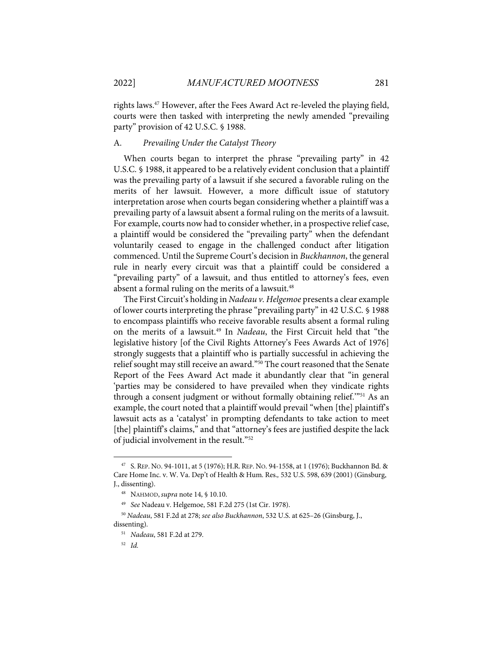rights laws.47 However, after the Fees Award Act re-leveled the playing field, courts were then tasked with interpreting the newly amended "prevailing party" provision of 42 U.S.C. § 1988.

#### A. *Prevailing Under the Catalyst Theory*

When courts began to interpret the phrase "prevailing party" in 42 U.S.C. § 1988, it appeared to be a relatively evident conclusion that a plaintiff was the prevailing party of a lawsuit if she secured a favorable ruling on the merits of her lawsuit. However, a more difficult issue of statutory interpretation arose when courts began considering whether a plaintiff was a prevailing party of a lawsuit absent a formal ruling on the merits of a lawsuit. For example, courts now had to consider whether, in a prospective relief case, a plaintiff would be considered the "prevailing party" when the defendant voluntarily ceased to engage in the challenged conduct after litigation commenced. Until the Supreme Court's decision in *Buckhannon*, the general rule in nearly every circuit was that a plaintiff could be considered a "prevailing party" of a lawsuit, and thus entitled to attorney's fees, even absent a formal ruling on the merits of a lawsuit.<sup>48</sup>

The First Circuit's holding in *Nadeau v. Helgemoe* presents a clear example of lower courts interpreting the phrase "prevailing party" in 42 U.S.C. § 1988 to encompass plaintiffs who receive favorable results absent a formal ruling on the merits of a lawsuit.49 In *Nadeau*, the First Circuit held that "the legislative history [of the Civil Rights Attorney's Fees Awards Act of 1976] strongly suggests that a plaintiff who is partially successful in achieving the relief sought may still receive an award."<sup>50</sup> The court reasoned that the Senate Report of the Fees Award Act made it abundantly clear that "in general 'parties may be considered to have prevailed when they vindicate rights through a consent judgment or without formally obtaining relief."<sup>51</sup> As an example, the court noted that a plaintiff would prevail "when [the] plaintiff's lawsuit acts as a 'catalyst' in prompting defendants to take action to meet [the] plaintiff's claims," and that "attorney's fees are justified despite the lack of judicial involvement in the result."52

<sup>&</sup>lt;sup>47</sup> S. REP. NO. 94-1011, at 5 (1976); H.R. REP. NO. 94-1558, at 1 (1976); Buckhannon Bd. & Care Home Inc. v. W. Va. Dep't of Health & Hum. Res.*,* 532 U.S. 598, 639 (2001) (Ginsburg, J., dissenting).

<sup>48</sup> NAHMOD, *supra* note 14, § 10.10.

<sup>49</sup> *See* Nadeau v. Helgemoe, 581 F.2d 275 (1st Cir. 1978).

<sup>50</sup> *Nadeau*, 581 F.2d at 278; *see also Buckhannon*, 532 U.S. at 625–26 (Ginsburg, J., dissenting).

<sup>51</sup> *Nadeau*, 581 F.2d at 279.

<sup>52</sup> *Id.*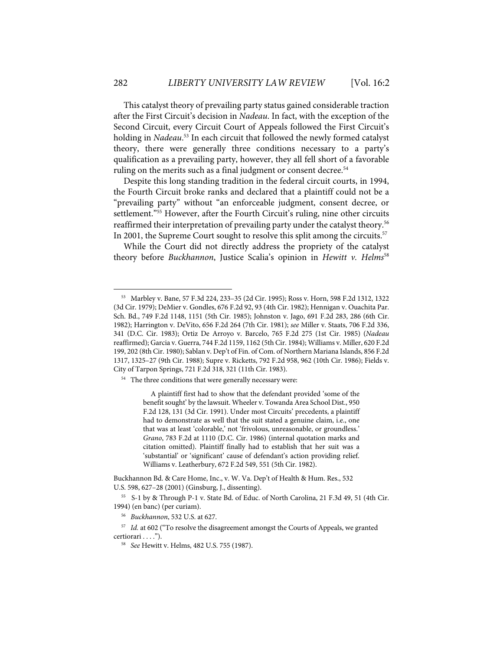This catalyst theory of prevailing party status gained considerable traction after the First Circuit's decision in *Nadeau*. In fact, with the exception of the Second Circuit, every Circuit Court of Appeals followed the First Circuit's holding in *Nadeau*. <sup>53</sup> In each circuit that followed the newly formed catalyst theory, there were generally three conditions necessary to a party's qualification as a prevailing party, however, they all fell short of a favorable ruling on the merits such as a final judgment or consent decree.<sup>54</sup>

Despite this long standing tradition in the federal circuit courts, in 1994, the Fourth Circuit broke ranks and declared that a plaintiff could not be a "prevailing party" without "an enforceable judgment, consent decree, or settlement."<sup>55</sup> However, after the Fourth Circuit's ruling, nine other circuits reaffirmed their interpretation of prevailing party under the catalyst theory.<sup>56</sup> In 2001, the Supreme Court sought to resolve this split among the circuits.<sup>57</sup>

While the Court did not directly address the propriety of the catalyst theory before *Buckhannon*, Justice Scalia's opinion in *Hewitt v. Helms*<sup>58</sup>

<sup>54</sup> The three conditions that were generally necessary were:

A plaintiff first had to show that the defendant provided 'some of the benefit sought' by the lawsuit. Wheeler v. Towanda Area School Dist., 950 F.2d 128, 131 (3d Cir. 1991). Under most Circuits' precedents, a plaintiff had to demonstrate as well that the suit stated a genuine claim, i.e., one that was at least 'colorable,' not 'frivolous, unreasonable, or groundless.' *Grano*, 783 F.2d at 1110 (D.C. Cir. 1986) (internal quotation marks and citation omitted). Plaintiff finally had to establish that her suit was a 'substantial' or 'significant' cause of defendant's action providing relief. Williams v. Leatherbury, 672 F.2d 549, 551 (5th Cir. 1982).

Buckhannon Bd. & Care Home, Inc., v. W. Va. Dep't of Health & Hum. Res., 532 U.S. 598, 627–28 (2001) (Ginsburg, J., dissenting).

55 S-1 by & Through P-1 v. State Bd. of Educ. of North Carolina, 21 F.3d 49, 51 (4th Cir. 1994) (en banc) (per curiam).

56 *Buckhannon*, 532 U.S. at 627.

<sup>57</sup> *Id.* at 602 ("To resolve the disagreement amongst the Courts of Appeals, we granted certiorari . . . ."). 58 *See* Hewitt v. Helms, 482 U.S. 755 (1987).

<sup>53</sup> Marbley v. Bane, 57 F.3d 224, 233–35 (2d Cir. 1995); Ross v. Horn, 598 F.2d 1312, 1322 (3d Cir. 1979); DeMier v. Gondles, 676 F.2d 92, 93 (4th Cir. 1982); Hennigan v. Ouachita Par. Sch. Bd., 749 F.2d 1148, 1151 (5th Cir. 1985); Johnston v. Jago, 691 F.2d 283, 286 (6th Cir. 1982); Harrington v. DeVito, 656 F.2d 264 (7th Cir. 1981); *see* Miller v. Staats, 706 F.2d 336, 341 (D.C. Cir. 1983); Ortiz De Arroyo v. Barcelo, 765 F.2d 275 (1st Cir. 1985) (*Nadeau* reaffirmed); Garcia v. Guerra, 744 F.2d 1159, 1162 (5th Cir. 1984); Williams v. Miller, 620 F.2d 199, 202 (8th Cir. 1980); Sablan v. Dep't of Fin. of Com. of Northern Mariana Islands, 856 F.2d 1317, 1325–27 (9th Cir. 1988); Supre v. Ricketts, 792 F.2d 958, 962 (10th Cir. 1986); Fields v. City of Tarpon Springs, 721 F.2d 318, 321 (11th Cir. 1983).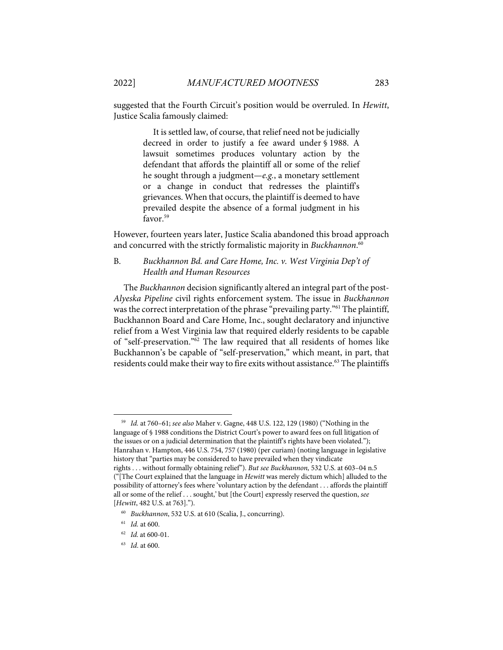suggested that the Fourth Circuit's position would be overruled. In *Hewitt*, Justice Scalia famously claimed:

> It is settled law, of course, that relief need not be judicially decreed in order to justify a fee award under § 1988. A lawsuit sometimes produces voluntary action by the defendant that affords the plaintiff all or some of the relief he sought through a judgment—*e.g.*, a monetary settlement or a change in conduct that redresses the plaintiff's grievances. When that occurs, the plaintiff is deemed to have prevailed despite the absence of a formal judgment in his favor.<sup>59</sup>

However, fourteen years later, Justice Scalia abandoned this broad approach and concurred with the strictly formalistic majority in *Buckhannon*. 60

## B. *Buckhannon Bd. and Care Home, Inc. v. West Virginia Dep't of Health and Human Resources*

The *Buckhannon* decision significantly altered an integral part of the post-*Alyeska Pipeline* civil rights enforcement system. The issue in *Buckhannon* was the correct interpretation of the phrase "prevailing party."61 The plaintiff, Buckhannon Board and Care Home, Inc., sought declaratory and injunctive relief from a West Virginia law that required elderly residents to be capable of "self-preservation." $\delta^2$  The law required that all residents of homes like Buckhannon's be capable of "self-preservation," which meant, in part, that residents could make their way to fire exits without assistance. <sup>63</sup> The plaintiffs

<sup>59</sup> *Id.* at 760–61; *see also* Maher v. Gagne, 448 U.S. 122, 129 (1980) ("Nothing in the language of § 1988 conditions the District Court's power to award fees on full litigation of the issues or on a judicial determination that the plaintiff's rights have been violated."); Hanrahan v. Hampton, 446 U.S. 754, 757 (1980) (per curiam) (noting language in legislative history that "parties may be considered to have prevailed when they vindicate rights . . . without formally obtaining relief"). *But see Buckhannon,* 532 U.S. at 603–04 n.5 ("[The Court explained that the language in *Hewitt* was merely dictum which] alluded to the possibility of attorney's fees where 'voluntary action by the defendant . . . affords the plaintiff all or some of the relief . . . sought,' but [the Court] expressly reserved the question, *see* [*Hewitt*, 482 U.S. at 763].").

<sup>60</sup> *Buckhannon*, 532 U.S. at 610 (Scalia, J., concurring).

<sup>61</sup> *Id.* at 600.

<sup>62</sup> *Id.* at 600-01.

<sup>63</sup> *Id*. at 600.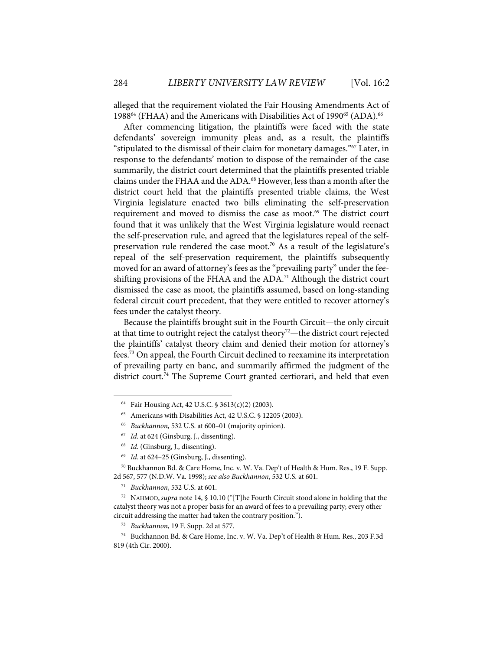alleged that the requirement violated the Fair Housing Amendments Act of 1988<sup>64</sup> (FHAA) and the Americans with Disabilities Act of 1990<sup>65</sup> (ADA).<sup>66</sup>

After commencing litigation, the plaintiffs were faced with the state defendants' sovereign immunity pleas and, as a result, the plaintiffs "stipulated to the dismissal of their claim for monetary damages."67 Later, in response to the defendants' motion to dispose of the remainder of the case summarily, the district court determined that the plaintiffs presented triable claims under the FHAA and the ADA. <sup>68</sup> However, less than a month after the district court held that the plaintiffs presented triable claims, the West Virginia legislature enacted two bills eliminating the self-preservation requirement and moved to dismiss the case as moot.<sup>69</sup> The district court found that it was unlikely that the West Virginia legislature would reenact the self-preservation rule, and agreed that the legislatures repeal of the selfpreservation rule rendered the case moot.<sup>70</sup> As a result of the legislature's repeal of the self-preservation requirement, the plaintiffs subsequently moved for an award of attorney's fees as the "prevailing party" under the feeshifting provisions of the FHAA and the  $ADA<sup>71</sup>$  Although the district court dismissed the case as moot, the plaintiffs assumed, based on long-standing federal circuit court precedent, that they were entitled to recover attorney's fees under the catalyst theory.

Because the plaintiffs brought suit in the Fourth Circuit—the only circuit at that time to outright reject the catalyst theory<sup>72</sup>—the district court rejected the plaintiffs' catalyst theory claim and denied their motion for attorney's fees.73 On appeal, the Fourth Circuit declined to reexamine its interpretation of prevailing party en banc, and summarily affirmed the judgment of the district court.<sup>74</sup> The Supreme Court granted certiorari, and held that even

<sup>&</sup>lt;sup>64</sup> Fair Housing Act, 42 U.S.C. § 3613(c)(2) (2003).

<sup>65</sup> Americans with Disabilities Act, 42 U.S.C. § 12205 (2003).

<sup>66</sup> *Buckhannon,* 532 U.S. at 600–01 (majority opinion).

<sup>67</sup> *Id.* at 624 (Ginsburg, J., dissenting).

<sup>68</sup> *Id.* (Ginsburg, J., dissenting).

<sup>69</sup> *Id.* at 624–25 (Ginsburg, J., dissenting).

<sup>&</sup>lt;sup>70</sup> Buckhannon Bd. & Care Home, Inc. v. W. Va. Dep't of Health & Hum. Res., 19 F. Supp. 2d 567, 577 (N.D.W. Va. 1998); *see also Buckhannon*, 532 U.S. at 601.

<sup>71</sup> *Buckhannon*, 532 U.S. at 601.

<sup>72</sup> NAHMOD, *supra* note 14, § 10.10 ("[T]he Fourth Circuit stood alone in holding that the catalyst theory was not a proper basis for an award of fees to a prevailing party; every other circuit addressing the matter had taken the contrary position.").

<sup>73</sup> *Buckhannon*, 19 F. Supp. 2d at 577.

<sup>74</sup> Buckhannon Bd. & Care Home, Inc. v. W. Va. Dep't of Health & Hum. Res., 203 F.3d 819 (4th Cir. 2000).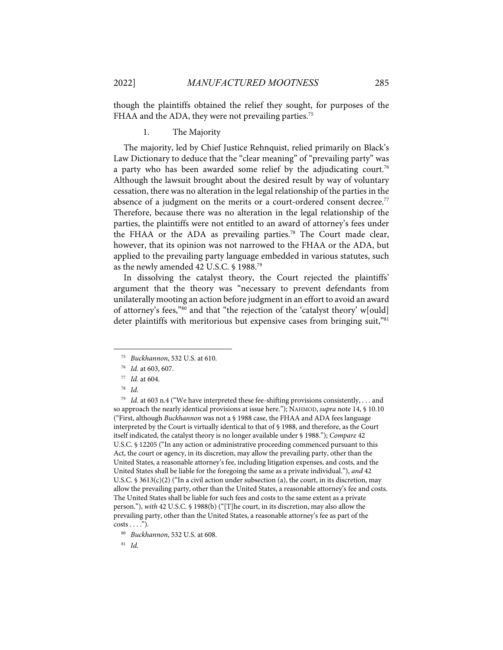though the plaintiffs obtained the relief they sought, for purposes of the FHAA and the ADA, they were not prevailing parties.<sup>75</sup>

1. The Majority

The majority, led by Chief Justice Rehnquist, relied primarily on Black's Law Dictionary to deduce that the "clear meaning" of "prevailing party" was a party who has been awarded some relief by the adjudicating court.<sup>76</sup> Although the lawsuit brought about the desired result by way of voluntary cessation, there was no alteration in the legal relationship of the parties in the absence of a judgment on the merits or a court-ordered consent decree.<sup>77</sup> Therefore, because there was no alteration in the legal relationship of the parties, the plaintiffs were not entitled to an award of attorney's fees under the FHAA or the ADA as prevailing parties.<sup>78</sup> The Court made clear, however, that its opinion was not narrowed to the FHAA or the ADA, but applied to the prevailing party language embedded in various statutes, such as the newly amended 42 U.S.C. § 1988.79

In dissolving the catalyst theory, the Court rejected the plaintiffs' argument that the theory was "necessary to prevent defendants from unilaterally mooting an action before judgment in an effort to avoid an award of attorney's fees,"80 and that "the rejection of the 'catalyst theory' w[ould] deter plaintiffs with meritorious but expensive cases from bringing suit,"<sup>81</sup>

81 *Id.*

<sup>75</sup> *Buckhannon*, 532 U.S. at 610.

<sup>76</sup> *Id.* at 603, 607.

<sup>77</sup> *Id.* at 604.

<sup>78</sup> *Id.*

<sup>79</sup> *Id.* at 603 n.4 ("We have interpreted these fee-shifting provisions consistently, . . . and so approach the nearly identical provisions at issue here."); NAHMOD, *supra* note 14, § 10.10 ("First, although *Buckhannon* was not a § 1988 case, the FHAA and ADA fees language interpreted by the Court is virtually identical to that of § 1988, and therefore, as the Court itself indicated, the catalyst theory is no longer available under § 1988."); *Compare* 42 U.S.C. § 12205 ("In any action or administrative proceeding commenced pursuant to this Act, the court or agency, in its discretion, may allow the prevailing party, other than the United States, a reasonable attorney's fee, including litigation expenses, and costs, and the United States shall be liable for the foregoing the same as a private individual."), *and* 42 U.S.C.  $\frac{1}{5}$  3613(c)(2) ("In a civil action under subsection (a), the court, in its discretion, may allow the prevailing party, other than the United States, a reasonable attorney's fee and costs. The United States shall be liable for such fees and costs to the same extent as a private person."), *with* 42 U.S.C. § 1988(b) ("[T]he court, in its discretion, may also allow the prevailing party, other than the United States, a reasonable attorney's fee as part of the  $costs \ldots$ ").

<sup>80</sup> *Buckhannon*, 532 U.S. at 608.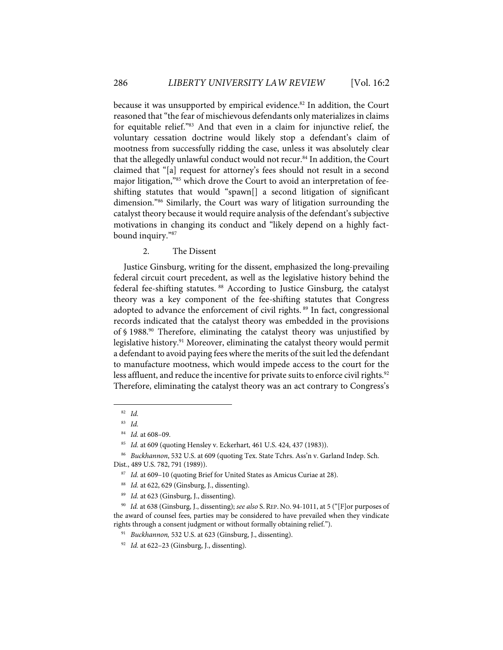because it was unsupported by empirical evidence.<sup>82</sup> In addition, the Court reasoned that "the fear of mischievous defendants only materializes in claims for equitable relief."83 And that even in a claim for injunctive relief, the voluntary cessation doctrine would likely stop a defendant's claim of mootness from successfully ridding the case, unless it was absolutely clear that the allegedly unlawful conduct would not recur.<sup>84</sup> In addition, the Court claimed that "[a] request for attorney's fees should not result in a second major litigation,"85 which drove the Court to avoid an interpretation of feeshifting statutes that would "spawn[] a second litigation of significant dimension."86 Similarly, the Court was wary of litigation surrounding the catalyst theory because it would require analysis of the defendant's subjective motivations in changing its conduct and "likely depend on a highly factbound inquiry."87

2. The Dissent

Justice Ginsburg, writing for the dissent, emphasized the long-prevailing federal circuit court precedent, as well as the legislative history behind the federal fee-shifting statutes. <sup>88</sup> According to Justice Ginsburg, the catalyst theory was a key component of the fee-shifting statutes that Congress adopted to advance the enforcement of civil rights.<sup>89</sup> In fact, congressional records indicated that the catalyst theory was embedded in the provisions of § 1988.90 Therefore, eliminating the catalyst theory was unjustified by legislative history.<sup>91</sup> Moreover, eliminating the catalyst theory would permit a defendant to avoid paying fees where the merits of the suit led the defendant to manufacture mootness, which would impede access to the court for the less affluent, and reduce the incentive for private suits to enforce civil rights.<sup>92</sup> Therefore, eliminating the catalyst theory was an act contrary to Congress's

<sup>82</sup> *Id.*

<sup>83</sup> *Id.*

<sup>84</sup> *Id.* at 608–09.

<sup>85</sup> *Id.* at 609 (quoting Hensley v. Eckerhart, 461 U.S. 424, 437 (1983)).

<sup>86</sup> *Buckhannon*, 532 U.S. at 609 (quoting Tex. State Tchrs. Ass'n v. Garland Indep. Sch. Dist., 489 U.S. 782, 791 (1989)).

<sup>87</sup> *Id.* at 609–10 (quoting Brief for United States as Amicus Curiae at 28).

<sup>88</sup> *Id.* at 622, 629 (Ginsburg, J., dissenting).

<sup>89</sup> *Id.* at 623 (Ginsburg, J., dissenting).

<sup>90</sup> *Id.* at 638 (Ginsburg, J., dissenting); *see also* S. REP. NO. 94-1011, at 5 ("[F]or purposes of the award of counsel fees, parties may be considered to have prevailed when they vindicate rights through a consent judgment or without formally obtaining relief.").

<sup>91</sup> *Buckhannon,* 532 U.S. at 623 (Ginsburg, J., dissenting).

<sup>92</sup> *Id.* at 622–23 (Ginsburg, J., dissenting).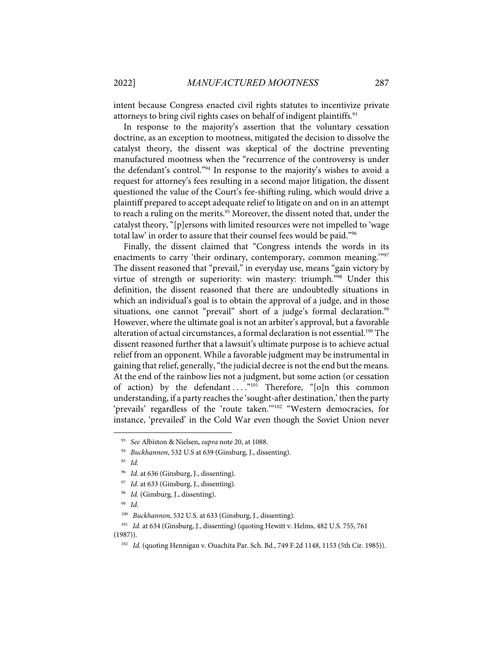intent because Congress enacted civil rights statutes to incentivize private attorneys to bring civil rights cases on behalf of indigent plaintiffs.<sup>93</sup>

In response to the majority's assertion that the voluntary cessation doctrine, as an exception to mootness, mitigated the decision to dissolve the catalyst theory, the dissent was skeptical of the doctrine preventing manufactured mootness when the "recurrence of the controversy is under the defendant's control."94 In response to the majority's wishes to avoid a request for attorney's fees resulting in a second major litigation, the dissent questioned the value of the Court's fee-shifting ruling, which would drive a plaintiff prepared to accept adequate relief to litigate on and on in an attempt to reach a ruling on the merits.<sup>95</sup> Moreover, the dissent noted that, under the catalyst theory, "[p]ersons with limited resources were not impelled to 'wage total law' in order to assure that their counsel fees would be paid."96

Finally, the dissent claimed that "Congress intends the words in its enactments to carry 'their ordinary, contemporary, common meaning."<sup>97</sup> The dissent reasoned that "prevail," in everyday use, means "gain victory by virtue of strength or superiority: win mastery: triumph."98 Under this definition, the dissent reasoned that there are undoubtedly situations in which an individual's goal is to obtain the approval of a judge, and in those situations, one cannot "prevail" short of a judge's formal declaration.<sup>99</sup> However, where the ultimate goal is not an arbiter's approval, but a favorable alteration of actual circumstances, a formal declaration is not essential.<sup>100</sup> The dissent reasoned further that a lawsuit's ultimate purpose is to achieve actual relief from an opponent. While a favorable judgment may be instrumental in gaining that relief, generally, "the judicial decree is not the end but the means. At the end of the rainbow lies not a judgment, but some action (or cessation of action) by the defendant  $\dots$ <sup>"101</sup> Therefore, "[o]n this common understanding, if a party reaches the 'sought-after destination,' then the party 'prevails' regardless of the 'route taken.'"102 "Western democracies, for instance, 'prevailed' in the Cold War even though the Soviet Union never

<sup>93</sup> *See* Albiston & Nielsen, *supra* note 20, at 1088.

<sup>94</sup> *Buckhannon*, 532 U.S at 639 (Ginsburg, J., dissenting).

<sup>95</sup> *Id.*

<sup>&</sup>lt;sup>96</sup> *Id.* at 636 (Ginsburg, J., dissenting).

<sup>&</sup>lt;sup>97</sup> *Id.* at 633 (Ginsburg, J., dissenting).

<sup>98</sup> *Id.* (Ginsburg, J., dissenting).

<sup>99</sup> *Id.*

<sup>100</sup> *Buckhannon*, 532 U.S. at 633 (Ginsburg, J., dissenting).

<sup>101</sup> *Id.* at 634 (Ginsburg, J., dissenting) (quoting Hewitt v. Helms, 482 U.S. 755, 761 (1987)).

<sup>102</sup> *Id.* (quoting Hennigan v. Ouachita Par. Sch. Bd., 749 F.2d 1148, 1153 (5th Cir. 1985)).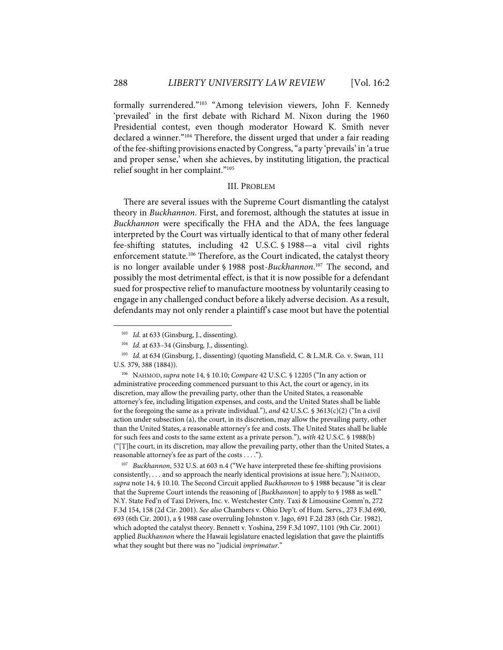formally surrendered."103 "Among television viewers, John F. Kennedy 'prevailed' in the first debate with Richard M. Nixon during the 1960 Presidential contest, even though moderator Howard K. Smith never declared a winner."104 Therefore, the dissent urged that under a fair reading of the fee-shifting provisions enacted by Congress, "a party 'prevails' in 'a true and proper sense,' when she achieves, by instituting litigation, the practical relief sought in her complaint."105

#### III. PROBLEM

There are several issues with the Supreme Court dismantling the catalyst theory in *Buckhannon*. First, and foremost, although the statutes at issue in *Buckhannon* were specifically the FHA and the ADA, the fees language interpreted by the Court was virtually identical to that of many other federal fee-shifting statutes, including 42 U.S.C. § 1988—a vital civil rights enforcement statute.<sup>106</sup> Therefore, as the Court indicated, the catalyst theory is no longer available under § 1988 post-*Buckhannon*. <sup>107</sup> The second, and possibly the most detrimental effect, is that it is now possible for a defendant sued for prospective relief to manufacture mootness by voluntarily ceasing to engage in any challenged conduct before a likely adverse decision. As a result, defendants may not only render a plaintiff's case moot but have the potential

106 NAHMOD, *supra* note 14, § 10.10; *Compare* 42 U.S.C. § 12205 ("In any action or administrative proceeding commenced pursuant to this Act, the court or agency, in its discretion, may allow the prevailing party, other than the United States, a reasonable attorney's fee, including litigation expenses, and costs, and the United States shall be liable for the foregoing the same as a private individual."), *and* 42 U.S.C. § 3613(c)(2) ("In a civil action under subsection (a), the court, in its discretion, may allow the prevailing party, other than the United States, a reasonable attorney's fee and costs. The United States shall be liable for such fees and costs to the same extent as a private person."), *with* 42 U.S.C. § 1988(b) ("[T]he court, in its discretion, may allow the prevailing party, other than the United States, a reasonable attorney's fee as part of the costs . . . .").

107 *Buckhannon*, 532 U.S. at 603 n.4 ("We have interpreted these fee-shifting provisions consistently, . . . and so approach the nearly identical provisions at issue here."); NAHMOD, *supra* note 14, § 10.10. The Second Circuit applied *Buckhannon* to § 1988 because "it is clear that the Supreme Court intends the reasoning of [*Buckhannon*] to apply to § 1988 as well." N.Y. State Fed'n of Taxi Drivers, Inc. v. Westchester Cnty. Taxi & Limousine Comm'n, 272 F.3d 154, 158 (2d Cir. 2001). *See also* Chambers v. Ohio Dep't. of Hum. Servs., 273 F.3d 690, 693 (6th Cir. 2001), a § 1988 case overruling Johnston v. Jago, 691 F.2d 283 (6th Cir. 1982), which adopted the catalyst theory. Bennett v. Yoshina, 259 F.3d 1097, 1101 (9th Cir. 2001) applied *Buckhannon* where the Hawaii legislature enacted legislation that gave the plaintiffs what they sought but there was no "judicial *imprimatur*."

<sup>&</sup>lt;sup>103</sup> *Id.* at 633 (Ginsburg, J., dissenting).

<sup>104</sup> *Id*. at 633–34 (Ginsburg*,* J., dissenting).

<sup>105</sup> *Id.* at 634 (Ginsburg, J., dissenting) (quoting Mansfield, C. & L.M.R. Co. v. Swan, 111 U.S. 379, 388 (1884)).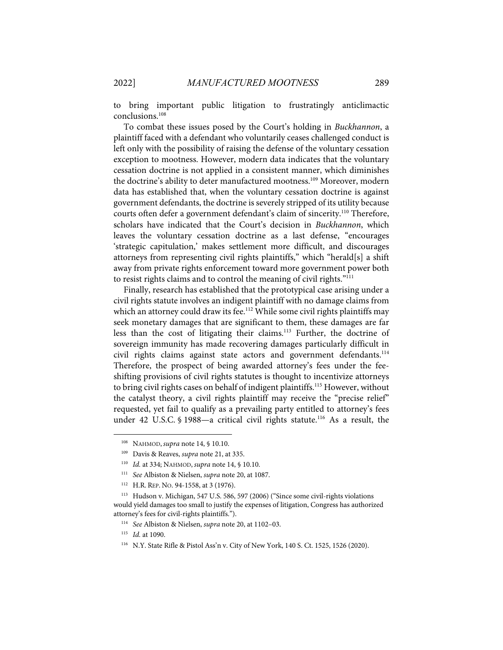to bring important public litigation to frustratingly anticlimactic conclusions. 108

To combat these issues posed by the Court's holding in *Buckhannon*, a plaintiff faced with a defendant who voluntarily ceases challenged conduct is left only with the possibility of raising the defense of the voluntary cessation exception to mootness. However, modern data indicates that the voluntary cessation doctrine is not applied in a consistent manner, which diminishes the doctrine's ability to deter manufactured mootness.<sup>109</sup> Moreover, modern data has established that, when the voluntary cessation doctrine is against government defendants, the doctrine is severely stripped of its utility because courts often defer a government defendant's claim of sincerity.110 Therefore, scholars have indicated that the Court's decision in *Buckhannon*, which leaves the voluntary cessation doctrine as a last defense, "encourages 'strategic capitulation,' makes settlement more difficult, and discourages attorneys from representing civil rights plaintiffs," which "herald[s] a shift away from private rights enforcement toward more government power both to resist rights claims and to control the meaning of civil rights."111

Finally, research has established that the prototypical case arising under a civil rights statute involves an indigent plaintiff with no damage claims from which an attorney could draw its fee.<sup>112</sup> While some civil rights plaintiffs may seek monetary damages that are significant to them, these damages are far less than the cost of litigating their claims.<sup>113</sup> Further, the doctrine of sovereign immunity has made recovering damages particularly difficult in civil rights claims against state actors and government defendants. 114 Therefore, the prospect of being awarded attorney's fees under the feeshifting provisions of civil rights statutes is thought to incentivize attorneys to bring civil rights cases on behalf of indigent plaintiffs. <sup>115</sup> However, without the catalyst theory, a civil rights plaintiff may receive the "precise relief" requested, yet fail to qualify as a prevailing party entitled to attorney's fees under 42 U.S.C. § 1988—a critical civil rights statute.<sup>116</sup> As a result, the

<sup>108</sup> NAHMOD, *supra* note 14, § 10.10.

<sup>109</sup> Davis & Reaves, *supra* note 21, at 335.

<sup>110</sup> *Id.* at 334; NAHMOD, *supra* note 14, § 10.10.

<sup>111</sup> *See* Albiston & Nielsen, *supra* note 20, at 1087.

<sup>112</sup> H.R. REP. NO. 94-1558, at 3 (1976).

<sup>113</sup> Hudson v. Michigan, 547 U.S. 586, 597 (2006) ("Since some civil-rights violations would yield damages too small to justify the expenses of litigation, Congress has authorized attorney's fees for civil-rights plaintiffs.").

<sup>114</sup> *See* Albiston & Nielsen, *supra* note 20, at 1102–03.

<sup>115</sup> *Id.* at 1090.

<sup>116</sup> N.Y. State Rifle & Pistol Ass'n v. City of New York, 140 S. Ct. 1525, 1526 (2020).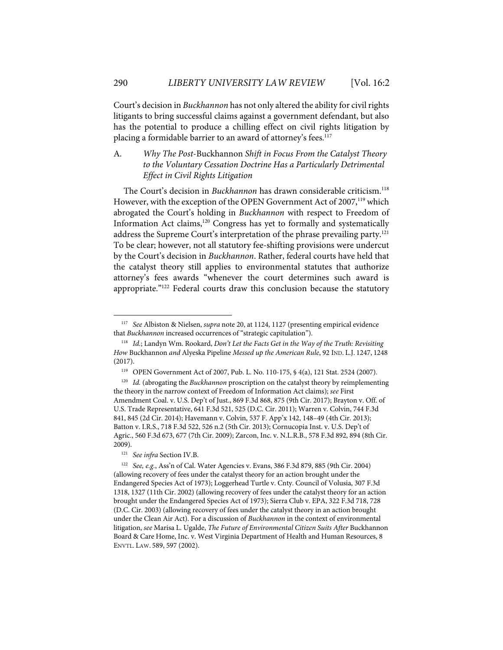Court's decision in *Buckhannon* has not only altered the ability for civil rights litigants to bring successful claims against a government defendant, but also has the potential to produce a chilling effect on civil rights litigation by placing a formidable barrier to an award of attorney's fees.<sup>117</sup>

# A. *Why The Post*-Buckhannon *Shift in Focus From the Catalyst Theory to the Voluntary Cessation Doctrine Has a Particularly Detrimental Effect in Civil Rights Litigation*

The Court's decision in *Buckhannon* has drawn considerable criticism.<sup>118</sup> However, with the exception of the OPEN Government Act of 2007,<sup>119</sup> which abrogated the Court's holding in *Buckhannon* with respect to Freedom of Information Act claims, <sup>120</sup> Congress has yet to formally and systematically address the Supreme Court's interpretation of the phrase prevailing party.<sup>121</sup> To be clear; however, not all statutory fee-shifting provisions were undercut by the Court's decision in *Buckhannon*. Rather, federal courts have held that the catalyst theory still applies to environmental statutes that authorize attorney's fees awards "whenever the court determines such award is appropriate."<sup>122</sup> Federal courts draw this conclusion because the statutory

<sup>117</sup> *See* Albiston & Nielsen, *supra* note 20, at 1124, 1127 (presenting empirical evidence that *Buckhannon* increased occurrences of "strategic capitulation").

<sup>118</sup> *Id.*; Landyn Wm. Rookard, *Don't Let the Facts Get in the Way of the Truth: Revisiting How* Buckhannon *and* Alyeska Pipeline *Messed up the American Rule*, 92 IND. L.J. 1247, 1248 (2017).

<sup>119</sup> OPEN Government Act of 2007, Pub. L. No. 110-175, § 4(a), 121 Stat. 2524 (2007).

<sup>120</sup> *Id.* (abrogating the *Buckhannon* proscription on the catalyst theory by reimplementing the theory in the narrow context of Freedom of Information Act claims); *see* First Amendment Coal. v. U.S. Dep't of Just., 869 F.3d 868, 875 (9th Cir. 2017); Brayton v. Off. of U.S. Trade Representative, 641 F.3d 521, 525 (D.C. Cir. 2011); Warren v. Colvin, 744 F.3d 841, 845 (2d Cir. 2014); Havemann v. Colvin, 537 F. App'x 142, 148–49 (4th Cir. 2013); Batton v. I.R.S., 718 F.3d 522, 526 n.2 (5th Cir. 2013); Cornucopia Inst. v. U.S. Dep't of Agric., 560 F.3d 673, 677 (7th Cir. 2009); Zarcon, Inc. v. N.L.R.B., 578 F.3d 892, 894 (8th Cir. 2009).

<sup>121</sup> *See infra* Section IV.B.

<sup>122</sup> *See, e.g.*, Ass'n of Cal. Water Agencies v. Evans, 386 F.3d 879, 885 (9th Cir. 2004) (allowing recovery of fees under the catalyst theory for an action brought under the Endangered Species Act of 1973); Loggerhead Turtle v. Cnty. Council of Volusia, 307 F.3d 1318, 1327 (11th Cir. 2002) (allowing recovery of fees under the catalyst theory for an action brought under the Endangered Species Act of 1973); Sierra Club v. EPA, 322 F.3d 718, 728 (D.C. Cir. 2003) (allowing recovery of fees under the catalyst theory in an action brought under the Clean Air Act). For a discussion of *Buckhannon* in the context of environmental litigation, *see* Marisa L. Ugalde, *The Future of Environmental Citizen Suits After* Buckhannon Board & Care Home, Inc. v. West Virginia Department of Health and Human Resources, 8 ENVTL. LAW. 589, 597 (2002).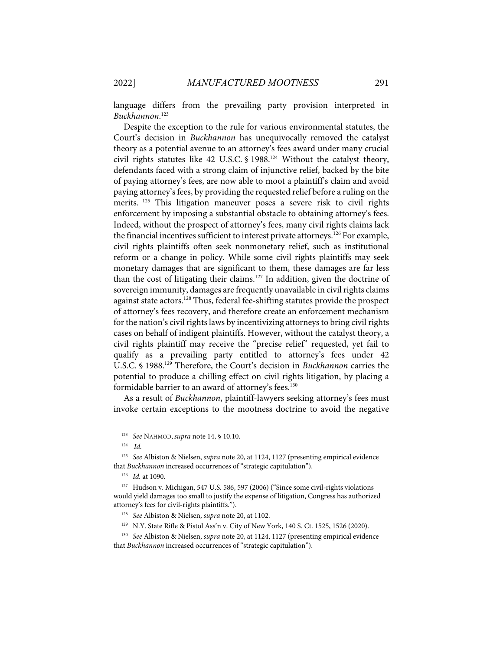language differs from the prevailing party provision interpreted in *Buckhannon*. 123

Despite the exception to the rule for various environmental statutes, the Court's decision in *Buckhannon* has unequivocally removed the catalyst theory as a potential avenue to an attorney's fees award under many crucial civil rights statutes like 42 U.S.C.  $\frac{6}{988}$ .<sup>124</sup> Without the catalyst theory, defendants faced with a strong claim of injunctive relief, backed by the bite of paying attorney's fees, are now able to moot a plaintiff's claim and avoid paying attorney's fees, by providing the requested relief before a ruling on the merits. <sup>125</sup> This litigation maneuver poses a severe risk to civil rights enforcement by imposing a substantial obstacle to obtaining attorney's fees. Indeed, without the prospect of attorney's fees, many civil rights claims lack the financial incentives sufficient to interest private attorneys.<sup>126</sup> For example, civil rights plaintiffs often seek nonmonetary relief, such as institutional reform or a change in policy. While some civil rights plaintiffs may seek monetary damages that are significant to them, these damages are far less than the cost of litigating their claims.<sup>127</sup> In addition, given the doctrine of sovereign immunity, damages are frequently unavailable in civil rights claims against state actors.<sup>128</sup> Thus, federal fee-shifting statutes provide the prospect of attorney's fees recovery, and therefore create an enforcement mechanism for the nation's civil rights laws by incentivizing attorneys to bring civil rights cases on behalf of indigent plaintiffs. However, without the catalyst theory, a civil rights plaintiff may receive the "precise relief" requested, yet fail to qualify as a prevailing party entitled to attorney's fees under 42 U.S.C. § 1988. <sup>129</sup> Therefore, the Court's decision in *Buckhannon* carries the potential to produce a chilling effect on civil rights litigation, by placing a formidable barrier to an award of attorney's fees. 130

As a result of *Buckhannon*, plaintiff-lawyers seeking attorney's fees must invoke certain exceptions to the mootness doctrine to avoid the negative

<sup>123</sup> *See* NAHMOD, *supra* note 14, § 10.10.

<sup>124</sup> *Id.*

<sup>125</sup> *See* Albiston & Nielsen, *supra* note 20, at 1124, 1127 (presenting empirical evidence that *Buckhannon* increased occurrences of "strategic capitulation").

<sup>126</sup> *Id.* at 1090.

<sup>127</sup> Hudson v. Michigan, 547 U.S. 586, 597 (2006) ("Since some civil-rights violations would yield damages too small to justify the expense of litigation, Congress has authorized attorney's fees for civil-rights plaintiffs.").

<sup>128</sup> *See* Albiston & Nielsen, *supra* note 20, at 1102.

<sup>129</sup> N.Y. State Rifle & Pistol Ass'n v. City of New York, 140 S. Ct. 1525, 1526 (2020).

<sup>130</sup> *See* Albiston & Nielsen, *supra* note 20, at 1124, 1127 (presenting empirical evidence that *Buckhannon* increased occurrences of "strategic capitulation").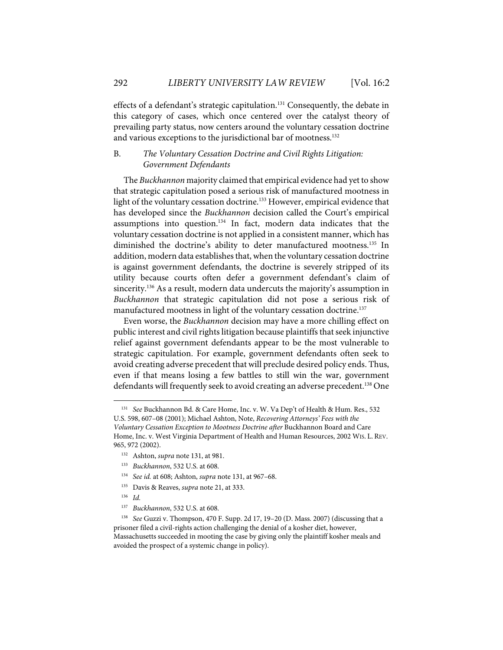effects of a defendant's strategic capitulation.<sup>131</sup> Consequently, the debate in this category of cases, which once centered over the catalyst theory of prevailing party status, now centers around the voluntary cessation doctrine and various exceptions to the jurisdictional bar of mootness. 132

# B. *The Voluntary Cessation Doctrine and Civil Rights Litigation: Government Defendants*

The *Buckhannon* majority claimed that empirical evidence had yet to show that strategic capitulation posed a serious risk of manufactured mootness in light of the voluntary cessation doctrine. <sup>133</sup> However, empirical evidence that has developed since the *Buckhannon* decision called the Court's empirical assumptions into question.134 In fact, modern data indicates that the voluntary cessation doctrine is not applied in a consistent manner, which has diminished the doctrine's ability to deter manufactured mootness. <sup>135</sup> In addition, modern data establishes that, when the voluntary cessation doctrine is against government defendants, the doctrine is severely stripped of its utility because courts often defer a government defendant's claim of sincerity.<sup>136</sup> As a result, modern data undercuts the majority's assumption in *Buckhannon* that strategic capitulation did not pose a serious risk of manufactured mootness in light of the voluntary cessation doctrine. 137

Even worse, the *Buckhannon* decision may have a more chilling effect on public interest and civil rights litigation because plaintiffs that seek injunctive relief against government defendants appear to be the most vulnerable to strategic capitulation. For example, government defendants often seek to avoid creating adverse precedent that will preclude desired policy ends. Thus, even if that means losing a few battles to still win the war, government defendants will frequently seek to avoid creating an adverse precedent. <sup>138</sup> One

<sup>131</sup> *See* Buckhannon Bd. & Care Home, Inc. v. W. Va Dep't of Health & Hum. Res., 532 U.S. 598, 607–08 (2001); Michael Ashton, Note, *Recovering Attorneys' Fees with the Voluntary Cessation Exception to Mootness Doctrine after* Buckhannon Board and Care Home, Inc. v. West Virginia Department of Health and Human Resources, 2002 WIS. L. REV.

<sup>965, 972</sup> (2002).

<sup>132</sup> Ashton, *supra* note 131, at 981.

<sup>133</sup> *Buckhannon*, 532 U.S. at 608.

<sup>134</sup> *See id.* at 608; Ashton, *supra* note 131, at 967–68.

<sup>135</sup> Davis & Reaves, *supra* note 21, at 333.

<sup>136</sup> *Id.*

<sup>137</sup> *Buckhannon*, 532 U.S. at 608.

<sup>138</sup> *See* Guzzi v. Thompson, 470 F. Supp. 2d 17, 19–20 (D. Mass. 2007) (discussing that a prisoner filed a civil-rights action challenging the denial of a kosher diet, however, Massachusetts succeeded in mooting the case by giving only the plaintiff kosher meals and avoided the prospect of a systemic change in policy).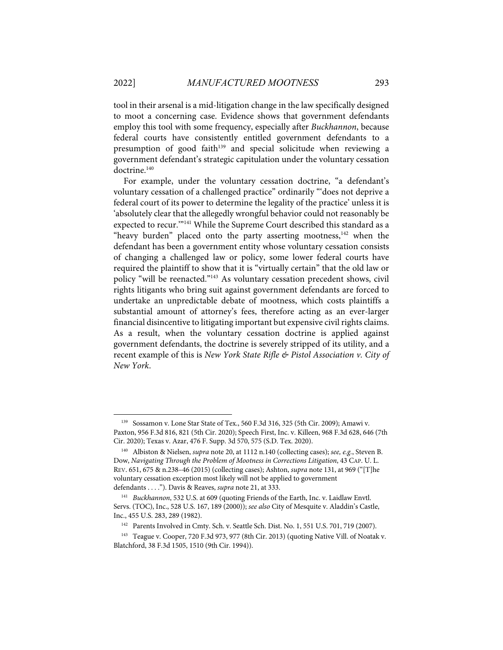tool in their arsenal is a mid-litigation change in the law specifically designed to moot a concerning case. Evidence shows that government defendants employ this tool with some frequency, especially after *Buckhannon*, because federal courts have consistently entitled government defendants to a presumption of good faith<sup>139</sup> and special solicitude when reviewing a government defendant's strategic capitulation under the voluntary cessation doctrine.<sup>140</sup>

For example, under the voluntary cessation doctrine, "a defendant's voluntary cessation of a challenged practice" ordinarily "'does not deprive a federal court of its power to determine the legality of the practice' unless it is 'absolutely clear that the allegedly wrongful behavior could not reasonably be expected to recur."<sup>141</sup> While the Supreme Court described this standard as a "heavy burden" placed onto the party asserting mootness,<sup>142</sup> when the defendant has been a government entity whose voluntary cessation consists of changing a challenged law or policy, some lower federal courts have required the plaintiff to show that it is "virtually certain" that the old law or policy "will be reenacted."143 As voluntary cessation precedent shows, civil rights litigants who bring suit against government defendants are forced to undertake an unpredictable debate of mootness, which costs plaintiffs a substantial amount of attorney's fees, therefore acting as an ever-larger financial disincentive to litigating important but expensive civil rights claims. As a result, when the voluntary cessation doctrine is applied against government defendants, the doctrine is severely stripped of its utility, and a recent example of this is *New York State Rifle & Pistol Association v. City of New York*.

<sup>139</sup> Sossamon v. Lone Star State of Tex., 560 F.3d 316, 325 (5th Cir. 2009); Amawi v. Paxton, 956 F.3d 816, 821 (5th Cir. 2020); Speech First, Inc. v. Killeen, 968 F.3d 628, 646 (7th Cir. 2020); Texas v. Azar, 476 F. Supp. 3d 570, 575 (S.D. Tex. 2020).

<sup>140</sup> Albiston & Nielsen, *supra* note 20, at 1112 n.140 (collecting cases); *see, e.g.*, Steven B. Dow, *Navigating Through the Problem of Mootness in Corrections Litigation*, 43 CAP. U. L. REV. 651, 675 & n.238–46 (2015) (collecting cases); Ashton, *supra* note 131, at 969 ("[T]he voluntary cessation exception most likely will not be applied to government defendants . . . ."). Davis & Reaves, *supra* note 21, at 333.

<sup>141</sup> *Buckhannon*, 532 U.S. at 609 (quoting Friends of the Earth, Inc. v. Laidlaw Envtl. Servs. (TOC), Inc., 528 U.S. 167, 189 (2000)); *see also* City of Mesquite v. Aladdin's Castle, Inc., 455 U.S. 283, 289 (1982).

<sup>142</sup> Parents Involved in Cmty. Sch. v. Seattle Sch. Dist. No. 1, 551 U.S. 701, 719 (2007).

<sup>143</sup> Teague v. Cooper, 720 F.3d 973, 977 (8th Cir. 2013) (quoting Native Vill. of Noatak v. Blatchford, 38 F.3d 1505, 1510 (9th Cir. 1994)).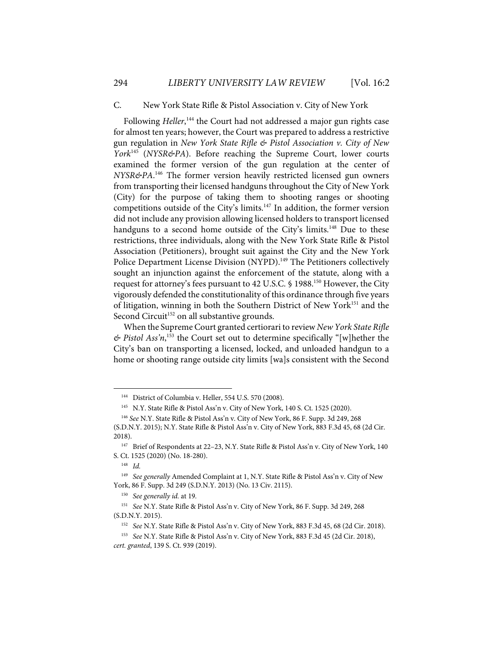#### C. New York State Rifle & Pistol Association v. City of New York

Following Heller,<sup>144</sup> the Court had not addressed a major gun rights case for almost ten years; however, the Court was prepared to address a restrictive gun regulation in *New York State Rifle & Pistol Association v. City of New York*<sup>145</sup> (*NYSR&PA*). Before reaching the Supreme Court, lower courts examined the former version of the gun regulation at the center of *NYSR&PA*. <sup>146</sup> The former version heavily restricted licensed gun owners from transporting their licensed handguns throughout the City of New York (City) for the purpose of taking them to shooting ranges or shooting competitions outside of the City's limits.<sup>147</sup> In addition, the former version did not include any provision allowing licensed holders to transport licensed handguns to a second home outside of the City's limits.<sup>148</sup> Due to these restrictions, three individuals, along with the New York State Rifle & Pistol Association (Petitioners), brought suit against the City and the New York Police Department License Division (NYPD).<sup>149</sup> The Petitioners collectively sought an injunction against the enforcement of the statute, along with a request for attorney's fees pursuant to 42 U.S.C. § 1988.150 However, the City vigorously defended the constitutionality of this ordinance through five years of litigation, winning in both the Southern District of New York<sup>151</sup> and the Second Circuit<sup>152</sup> on all substantive grounds.

When the Supreme Court granted certiorari to review *New York State Rifle & Pistol Ass'n*, <sup>153</sup> the Court set out to determine specifically "[w]hether the City's ban on transporting a licensed, locked, and unloaded handgun to a home or shooting range outside city limits [wa]s consistent with the Second

<sup>144</sup> District of Columbia v. Heller, 554 U.S. 570 (2008).

<sup>&</sup>lt;sup>145</sup> N.Y. State Rifle & Pistol Ass'n v. City of New York, 140 S. Ct. 1525 (2020).

<sup>146</sup> *See* N.Y. State Rifle & Pistol Ass'n v. City of New York, 86 F. Supp. 3d 249, 268 (S.D.N.Y. 2015); N.Y. State Rifle & Pistol Ass'n v. City of New York, 883 F.3d 45, 68 (2d Cir. 2018).

<sup>147</sup> Brief of Respondents at 22–23, N.Y. State Rifle & Pistol Ass'n v. City of New York, 140 S. Ct. 1525 (2020) (No. 18-280).

<sup>148</sup> *Id.*

<sup>149</sup> *See generally* Amended Complaint at 1, N.Y. State Rifle & Pistol Ass'n v. City of New York, 86 F. Supp. 3d 249 (S.D.N.Y. 2013) (No. 13 Civ. 2115).

<sup>150</sup> *See generally id.* at 19*.* 

<sup>151</sup> *See* N.Y. State Rifle & Pistol Ass'n v. City of New York, 86 F. Supp. 3d 249, 268 (S.D.N.Y. 2015).

<sup>152</sup> *See* N.Y. State Rifle & Pistol Ass'n v. City of New York, 883 F.3d 45, 68 (2d Cir. 2018).

<sup>153</sup> *See* N.Y. State Rifle & Pistol Ass'n v. City of New York, 883 F.3d 45 (2d Cir. 2018), *cert. granted*, 139 S. Ct. 939 (2019).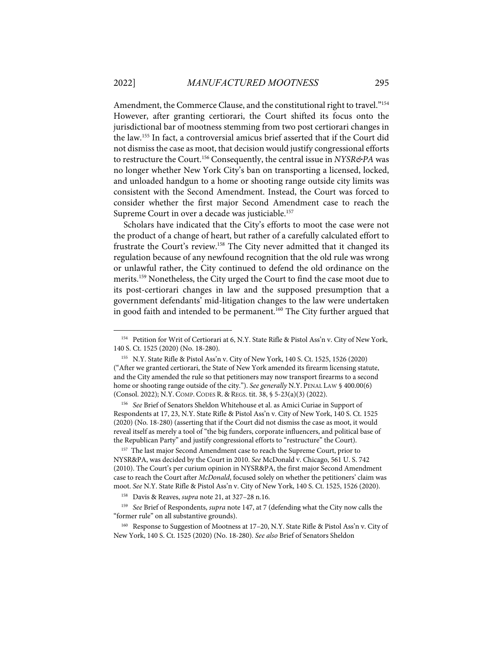Amendment, the Commerce Clause, and the constitutional right to travel."<sup>154</sup> However, after granting certiorari, the Court shifted its focus onto the jurisdictional bar of mootness stemming from two post certiorari changes in the law. <sup>155</sup> In fact, a controversial amicus brief asserted that if the Court did not dismiss the case as moot, that decision would justify congressional efforts to restructure the Court.156 Consequently, the central issue in *NYSR&PA* was no longer whether New York City's ban on transporting a licensed, locked, and unloaded handgun to a home or shooting range outside city limits was consistent with the Second Amendment. Instead, the Court was forced to consider whether the first major Second Amendment case to reach the Supreme Court in over a decade was justiciable.<sup>157</sup>

Scholars have indicated that the City's efforts to moot the case were not the product of a change of heart, but rather of a carefully calculated effort to frustrate the Court's review.158 The City never admitted that it changed its regulation because of any newfound recognition that the old rule was wrong or unlawful rather, the City continued to defend the old ordinance on the merits.159 Nonetheless, the City urged the Court to find the case moot due to its post-certiorari changes in law and the supposed presumption that a government defendants' mid-litigation changes to the law were undertaken in good faith and intended to be permanent.<sup>160</sup> The City further argued that

156 *See* Brief of Senators Sheldon Whitehouse et al. as Amici Curiae in Support of Respondents at 17, 23, N.Y. State Rifle & Pistol Ass'n v. City of New York, 140 S. Ct. 1525 (2020) (No. 18-280) (asserting that if the Court did not dismiss the case as moot, it would reveal itself as merely a tool of "the big funders, corporate influencers, and political base of the Republican Party" and justify congressional efforts to "restructure" the Court).

<sup>157</sup> The last major Second Amendment case to reach the Supreme Court, prior to NYSR&PA, was decided by the Court in 2010. *See* McDonald v. Chicago, 561 U. S. 742 (2010). The Court's per curium opinion in NYSR&PA, the first major Second Amendment case to reach the Court after *McDonald*, focused solely on whether the petitioners' claim was moot. *See* N.Y. State Rifle & Pistol Ass'n v. City of New York, 140 S. Ct. 1525, 1526 (2020).

<sup>&</sup>lt;sup>154</sup> Petition for Writ of Certiorari at 6, N.Y. State Rifle & Pistol Ass'n v. City of New York, 140 S. Ct. 1525 (2020) (No. 18-280).

<sup>155</sup> N.Y. State Rifle & Pistol Ass'n v. City of New York, 140 S. Ct. 1525, 1526 (2020) ("After we granted certiorari, the State of New York amended its firearm licensing statute, and the City amended the rule so that petitioners may now transport firearms to a second home or shooting range outside of the city."). *See generally* N.Y. PENAL LAW § 400.00(6) (Consol. 2022); N.Y. COMP. CODES R. & REGS. tit. 38, § 5-23(a)(3) (2022).

<sup>158</sup> Davis & Reaves, *supra* note 21, at 327–28 n.16.

<sup>159</sup> *See* Brief of Respondents, *supra* note 147, at 7 (defending what the City now calls the "former rule" on all substantive grounds).

<sup>160</sup> Response to Suggestion of Mootness at 17-20, N.Y. State Rifle & Pistol Ass'n v. City of New York, 140 S. Ct. 1525 (2020) (No. 18-280). *See also* Brief of Senators Sheldon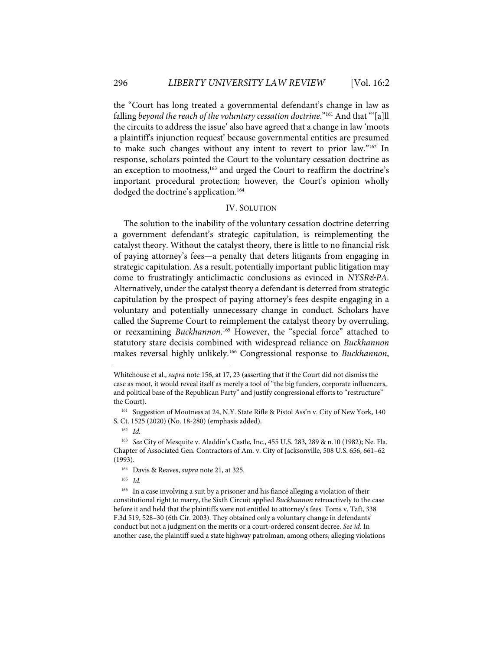the "Court has long treated a governmental defendant's change in law as falling *beyond the reach of the voluntary cessation doctrine*."161 And that "'[a]ll the circuits to address the issue' also have agreed that a change in law 'moots a plaintiff's injunction request' because governmental entities are presumed to make such changes without any intent to revert to prior law."162 In response, scholars pointed the Court to the voluntary cessation doctrine as an exception to mootness,<sup>163</sup> and urged the Court to reaffirm the doctrine's important procedural protection; however, the Court's opinion wholly dodged the doctrine's application.<sup>164</sup>

### IV. SOLUTION

The solution to the inability of the voluntary cessation doctrine deterring a government defendant's strategic capitulation, is reimplementing the catalyst theory. Without the catalyst theory, there is little to no financial risk of paying attorney's fees—a penalty that deters litigants from engaging in strategic capitulation. As a result, potentially important public litigation may come to frustratingly anticlimactic conclusions as evinced in *NYSR&PA*. Alternatively, under the catalyst theory a defendant is deterred from strategic capitulation by the prospect of paying attorney's fees despite engaging in a voluntary and potentially unnecessary change in conduct. Scholars have called the Supreme Court to reimplement the catalyst theory by overruling, or reexamining *Buckhannon*. <sup>165</sup> However, the "special force" attached to statutory stare decisis combined with widespread reliance on *Buckhannon*  makes reversal highly unlikely. <sup>166</sup> Congressional response to *Buckhannon*,

165 *Id.*

Whitehouse et al., *supra* note 156, at 17, 23 (asserting that if the Court did not dismiss the case as moot, it would reveal itself as merely a tool of "the big funders, corporate influencers, and political base of the Republican Party" and justify congressional efforts to "restructure" the Court).

<sup>&</sup>lt;sup>161</sup> Suggestion of Mootness at 24, N.Y. State Rifle & Pistol Ass'n v. City of New York, 140 S. Ct. 1525 (2020) (No. 18-280) (emphasis added).

<sup>162</sup> *Id.*

<sup>163</sup> *See* City of Mesquite v. Aladdin's Castle, Inc., 455 U.S. 283, 289 & n.10 (1982); Ne. Fla. Chapter of Associated Gen. Contractors of Am. v. City of Jacksonville, 508 U.S. 656, 661–62 (1993).

<sup>164</sup> Davis & Reaves, *supra* note 21, at 325.

<sup>&</sup>lt;sup>166</sup> In a case involving a suit by a prisoner and his fiancé alleging a violation of their constitutional right to marry, the Sixth Circuit applied *Buckhannon* retroactively to the case before it and held that the plaintiffs were not entitled to attorney's fees. Toms v. Taft, 338 F.3d 519, 528–30 (6th Cir. 2003). They obtained only a voluntary change in defendants' conduct but not a judgment on the merits or a court-ordered consent decree. *See id.* In another case, the plaintiff sued a state highway patrolman, among others, alleging violations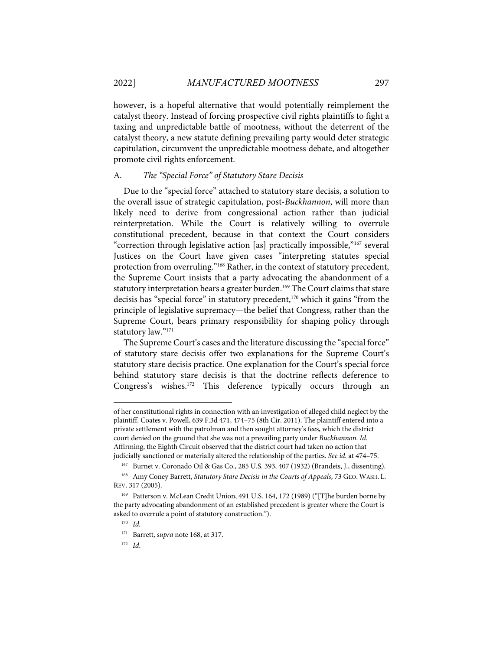however, is a hopeful alternative that would potentially reimplement the catalyst theory. Instead of forcing prospective civil rights plaintiffs to fight a taxing and unpredictable battle of mootness, without the deterrent of the catalyst theory, a new statute defining prevailing party would deter strategic capitulation, circumvent the unpredictable mootness debate, and altogether promote civil rights enforcement.

## A. *The "Special Force" of Statutory Stare Decisis*

Due to the "special force" attached to statutory stare decisis, a solution to the overall issue of strategic capitulation, post-*Buckhannon*, will more than likely need to derive from congressional action rather than judicial reinterpretation. While the Court is relatively willing to overrule constitutional precedent, because in that context the Court considers "correction through legislative action [as] practically impossible,"167 several Justices on the Court have given cases "interpreting statutes special protection from overruling."168 Rather, in the context of statutory precedent, the Supreme Court insists that a party advocating the abandonment of a statutory interpretation bears a greater burden.<sup>169</sup> The Court claims that stare decisis has "special force" in statutory precedent,<sup>170</sup> which it gains "from the principle of legislative supremacy—the belief that Congress, rather than the Supreme Court, bears primary responsibility for shaping policy through statutory law."171

The Supreme Court's cases and the literature discussing the "special force" of statutory stare decisis offer two explanations for the Supreme Court's statutory stare decisis practice. One explanation for the Court's special force behind statutory stare decisis is that the doctrine reflects deference to Congress's wishes. <sup>172</sup> This deference typically occurs through an

of her constitutional rights in connection with an investigation of alleged child neglect by the plaintiff. Coates v. Powell, 639 F.3d 471, 474–75 (8th Cir. 2011). The plaintiff entered into a private settlement with the patrolman and then sought attorney's fees, which the district court denied on the ground that she was not a prevailing party under *Buckhannon*. *Id.* Affirming, the Eighth Circuit observed that the district court had taken no action that judicially sanctioned or materially altered the relationship of the parties. *See id.* at 474–75.

<sup>167</sup> Burnet v. Coronado Oil & Gas Co., 285 U.S. 393, 407 (1932) (Brandeis, J., dissenting).

<sup>&</sup>lt;sup>168</sup> Amy Coney Barrett, *Statutory Stare Decisis in the Courts of Appeals*, 73 GEO. WASH. L. REV. 317 (2005).

<sup>169</sup> Patterson v. McLean Credit Union, 491 U.S. 164, 172 (1989) ("[T]he burden borne by the party advocating abandonment of an established precedent is greater where the Court is asked to overrule a point of statutory construction.").

<sup>170</sup> *Id.*

<sup>171</sup> Barrett, *supra* note 168, at 317.

<sup>172</sup> *Id*.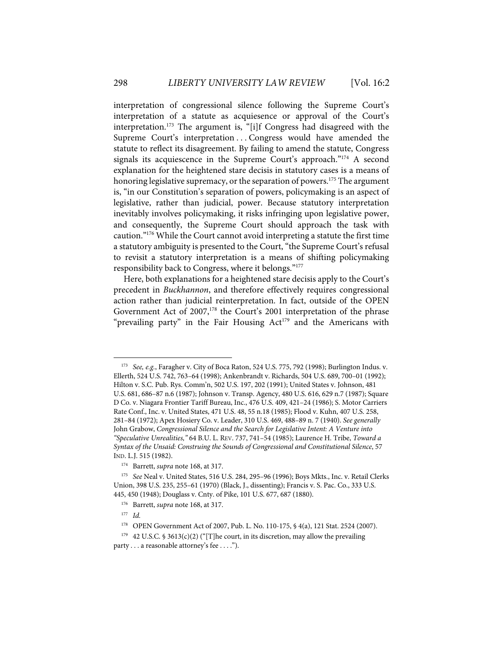interpretation of congressional silence following the Supreme Court's interpretation of a statute as acquiesence or approval of the Court's interpretation.173 The argument is, "[i]f Congress had disagreed with the Supreme Court's interpretation ... Congress would have amended the statute to reflect its disagreement. By failing to amend the statute, Congress signals its acquiescence in the Supreme Court's approach."<sup>174</sup> A second explanation for the heightened stare decisis in statutory cases is a means of honoring legislative supremacy, or the separation of powers.<sup>175</sup> The argument is, "in our Constitution's separation of powers, policymaking is an aspect of legislative, rather than judicial, power. Because statutory interpretation inevitably involves policymaking, it risks infringing upon legislative power, and consequently, the Supreme Court should approach the task with caution."176 While the Court cannot avoid interpreting a statute the first time a statutory ambiguity is presented to the Court, "the Supreme Court's refusal to revisit a statutory interpretation is a means of shifting policymaking responsibility back to Congress, where it belongs."177

Here, both explanations for a heightened stare decisis apply to the Court's precedent in *Buckhannon*, and therefore effectively requires congressional action rather than judicial reinterpretation. In fact, outside of the OPEN Government Act of  $2007$ ,<sup>178</sup> the Court's 2001 interpretation of the phrase "prevailing party" in the Fair Housing  $Act^{179}$  and the Americans with

<sup>173</sup> *See, e.g.*, Faragher v. City of Boca Raton, 524 U.S. 775, 792 (1998); Burlington Indus. v. Ellerth, 524 U.S. 742, 763–64 (1998); Ankenbrandt v. Richards, 504 U.S. 689, 700–01 (1992); Hilton v. S.C. Pub. Rys. Comm'n, 502 U.S. 197, 202 (1991); United States v. Johnson, 481 U.S. 681, 686–87 n.6 (1987); Johnson v. Transp. Agency, 480 U.S. 616, 629 n.7 (1987); Square D Co. v. Niagara Frontier Tariff Bureau, Inc., 476 U.S. 409, 421–24 (1986); S. Motor Carriers Rate Conf., Inc. v. United States, 471 U.S. 48, 55 n.18 (1985); Flood v. Kuhn, 407 U.S. 258, 281–84 (1972); Apex Hosiery Co. v. Leader, 310 U.S. 469, 488–89 n. 7 (1940). *See generally* John Grabow, *Congressional Silence and the Search for Legislative Intent: A Venture into "Speculative Unrealities,"* 64 B.U. L. REV. 737, 741–54 (1985); Laurence H. Tribe, *Toward a Syntax of the Unsaid: Construing the Sounds of Congressional and Constitutional Silence*, 57 IND. L.J. 515 (1982).

<sup>174</sup> Barrett, *supra* note 168, at 317.

<sup>175</sup> *See* Neal v. United States, 516 U.S. 284, 295–96 (1996); Boys Mkts., Inc. v. Retail Clerks Union, 398 U.S. 235, 255–61 (1970) (Black, J., dissenting); Francis v. S. Pac. Co., 333 U.S. 445, 450 (1948); Douglass v. Cnty. of Pike, 101 U.S. 677, 687 (1880).

<sup>176</sup> Barrett, *supra* note 168, at 317.

<sup>177</sup> *Id.*

<sup>178</sup> OPEN Government Act of 2007, Pub. L. No. 110-175, § 4(a), 121 Stat. 2524 (2007).

 $179$  42 U.S.C. § 3613(c)(2) ("[T]he court, in its discretion, may allow the prevailing

party . . . a reasonable attorney's fee . . . .").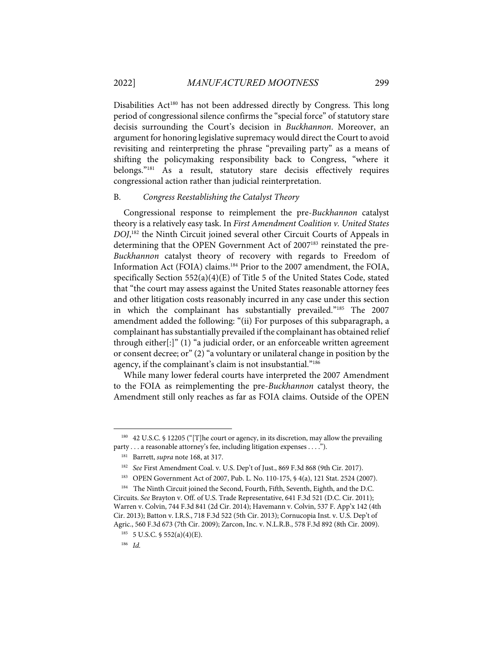Disabilities Act<sup>180</sup> has not been addressed directly by Congress. This long period of congressional silence confirms the "special force" of statutory stare decisis surrounding the Court's decision in *Buckhannon*. Moreover, an argument for honoring legislative supremacy would direct the Court to avoid revisiting and reinterpreting the phrase "prevailing party" as a means of shifting the policymaking responsibility back to Congress, "where it belongs."181 As a result, statutory stare decisis effectively requires congressional action rather than judicial reinterpretation.

#### B. *Congress Reestablishing the Catalyst Theory*

Congressional response to reimplement the pre-*Buckhannon* catalyst theory is a relatively easy task. In *First Amendment Coalition v. United States DOJ*, <sup>182</sup> the Ninth Circuit joined several other Circuit Courts of Appeals in determining that the OPEN Government Act of 2007<sup>183</sup> reinstated the pre-*Buckhannon* catalyst theory of recovery with regards to Freedom of Information Act (FOIA) claims.<sup>184</sup> Prior to the 2007 amendment, the FOIA, specifically Section 552(a)(4)(E) of Title 5 of the United States Code, stated that "the court may assess against the United States reasonable attorney fees and other litigation costs reasonably incurred in any case under this section in which the complainant has substantially prevailed."185 The 2007 amendment added the following: "(ii) For purposes of this subparagraph, a complainant has substantially prevailed if the complainant has obtained relief through either[:]" (1) "a judicial order, or an enforceable written agreement or consent decree; or" (2) "a voluntary or unilateral change in position by the agency, if the complainant's claim is not insubstantial."186

While many lower federal courts have interpreted the 2007 Amendment to the FOIA as reimplementing the pre-*Buckhannon* catalyst theory, the Amendment still only reaches as far as FOIA claims. Outside of the OPEN

<sup>180 42</sup> U.S.C. § 12205 ("[T]he court or agency, in its discretion, may allow the prevailing party . . . a reasonable attorney's fee, including litigation expenses . . . .").

<sup>181</sup> Barrett, *supra* note 168, at 317.

<sup>182</sup> *See* First Amendment Coal. v. U.S. Dep't of Just., 869 F.3d 868 (9th Cir. 2017).

<sup>183</sup> OPEN Government Act of 2007, Pub. L. No. 110-175, § 4(a), 121 Stat. 2524 (2007).

<sup>184</sup> The Ninth Circuit joined the Second, Fourth, Fifth, Seventh, Eighth, and the D.C. Circuits. *See* Brayton v. Off. of U.S. Trade Representative, 641 F.3d 521 (D.C. Cir. 2011); Warren v. Colvin, 744 F.3d 841 (2d Cir. 2014); Havemann v. Colvin, 537 F. App'x 142 (4th Cir. 2013); Batton v. I.R.S., 718 F.3d 522 (5th Cir. 2013); Cornucopia Inst. v. U.S. Dep't of Agric., 560 F.3d 673 (7th Cir. 2009); Zarcon, Inc. v. N.L.R.B., 578 F.3d 892 (8th Cir. 2009).

<sup>185 5</sup> U.S.C. § 552(a)(4)(E).

<sup>186</sup> *Id.*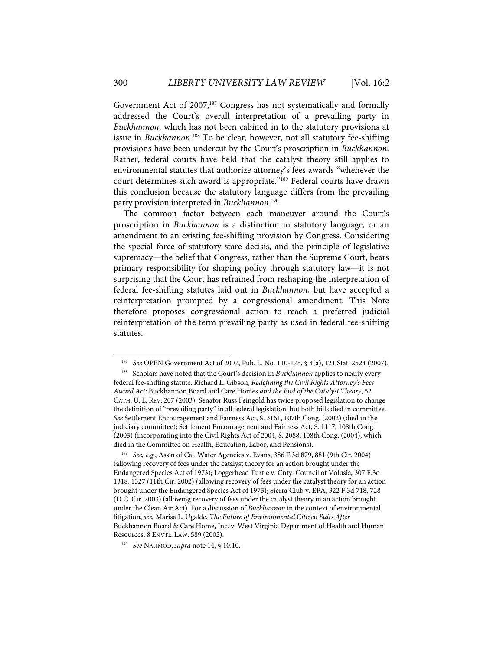Government Act of  $2007$ ,<sup>187</sup> Congress has not systematically and formally addressed the Court's overall interpretation of a prevailing party in *Buckhannon*, which has not been cabined in to the statutory provisions at issue in *Buckhannon*.<sup>188</sup> To be clear, however, not all statutory fee-shifting provisions have been undercut by the Court's proscription in *Buckhannon*. Rather, federal courts have held that the catalyst theory still applies to environmental statutes that authorize attorney's fees awards "whenever the court determines such award is appropriate."<sup>189</sup> Federal courts have drawn this conclusion because the statutory language differs from the prevailing party provision interpreted in *Buckhannon*. 190

The common factor between each maneuver around the Court's proscription in *Buckhannon* is a distinction in statutory language, or an amendment to an existing fee-shifting provision by Congress. Considering the special force of statutory stare decisis, and the principle of legislative supremacy—the belief that Congress, rather than the Supreme Court, bears primary responsibility for shaping policy through statutory law—it is not surprising that the Court has refrained from reshaping the interpretation of federal fee-shifting statutes laid out in *Buckhannon*, but have accepted a reinterpretation prompted by a congressional amendment. This Note therefore proposes congressional action to reach a preferred judicial reinterpretation of the term prevailing party as used in federal fee-shifting statutes.

<sup>187</sup> *See* OPEN Government Act of 2007, Pub. L. No. 110-175, § 4(a), 121 Stat. 2524 (2007).

<sup>188</sup> Scholars have noted that the Court's decision in *Buckhannon* applies to nearly every federal fee-shifting statute. Richard L. Gibson, *Redefining the Civil Rights Attorney's Fees Award Act:* Buckhannon Board and Care Homes *and the End of the Catalyst Theory*, 52 CATH. U. L. REV. 207 (2003). Senator Russ Feingold has twice proposed legislation to change the definition of "prevailing party" in all federal legislation, but both bills died in committee. *See* Settlement Encouragement and Fairness Act, S. 3161, 107th Cong. (2002) (died in the judiciary committee); Settlement Encouragement and Fairness Act, S. 1117, 108th Cong. (2003) (incorporating into the Civil Rights Act of 2004, S. 2088, 108th Cong. (2004), which died in the Committee on Health, Education, Labor, and Pensions).

<sup>189</sup> *See, e.g.*, Ass'n of Cal. Water Agencies v. Evans, 386 F.3d 879, 881 (9th Cir. 2004) (allowing recovery of fees under the catalyst theory for an action brought under the Endangered Species Act of 1973); Loggerhead Turtle v. Cnty. Council of Volusia, 307 F.3d 1318, 1327 (11th Cir. 2002) (allowing recovery of fees under the catalyst theory for an action brought under the Endangered Species Act of 1973); Sierra Club v. EPA, 322 F.3d 718, 728 (D.C. Cir. 2003) (allowing recovery of fees under the catalyst theory in an action brought under the Clean Air Act). For a discussion of *Buckhannon* in the context of environmental litigation, *see,* Marisa L. Ugalde, *The Future of Environmental Citizen Suits After*  Buckhannon Board & Care Home, Inc. v. West Virginia Department of Health and Human Resources, 8 ENVTL. LAW. 589 (2002).

<sup>190</sup> *See* NAHMOD, *supra* note 14, § 10.10.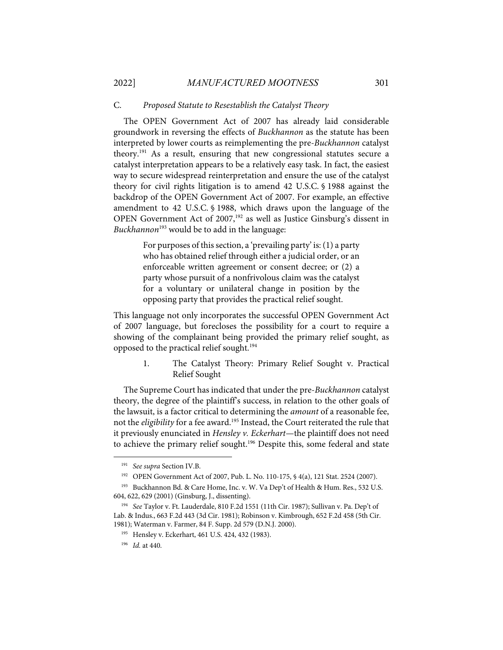#### C. *Proposed Statute to Resestablish the Catalyst Theory*

The OPEN Government Act of 2007 has already laid considerable groundwork in reversing the effects of *Buckhannon* as the statute has been interpreted by lower courts as reimplementing the pre-*Buckhannon* catalyst theory.191 As a result, ensuring that new congressional statutes secure a catalyst interpretation appears to be a relatively easy task. In fact, the easiest way to secure widespread reinterpretation and ensure the use of the catalyst theory for civil rights litigation is to amend 42 U.S.C. § 1988 against the backdrop of the OPEN Government Act of 2007. For example, an effective amendment to 42 U.S.C. § 1988, which draws upon the language of the OPEN Government Act of 2007,<sup>192</sup> as well as Justice Ginsburg's dissent in *Buckhannon*<sup>193</sup> would be to add in the language:

> For purposes of this section, a 'prevailing party' is: (1) a party who has obtained relief through either a judicial order, or an enforceable written agreement or consent decree; or (2) a party whose pursuit of a nonfrivolous claim was the catalyst for a voluntary or unilateral change in position by the opposing party that provides the practical relief sought.

This language not only incorporates the successful OPEN Government Act of 2007 language, but forecloses the possibility for a court to require a showing of the complainant being provided the primary relief sought, as opposed to the practical relief sought. 194

> 1. The Catalyst Theory: Primary Relief Sought v. Practical Relief Sought

The Supreme Court has indicated that under the pre-*Buckhannon* catalyst theory, the degree of the plaintiff's success, in relation to the other goals of the lawsuit, is a factor critical to determining the *amount* of a reasonable fee, not the *eligibility* for a fee award. <sup>195</sup> Instead, the Court reiterated the rule that it previously enunciated in *Hensley v. Eckerhart*—the plaintiff does not need to achieve the primary relief sought. <sup>196</sup> Despite this, some federal and state

<sup>191</sup> *See supra* Section IV.B.

<sup>192</sup> OPEN Government Act of 2007, Pub. L. No. 110-175, § 4(a), 121 Stat. 2524 (2007).

<sup>&</sup>lt;sup>193</sup> Buckhannon Bd. & Care Home, Inc. v. W. Va Dep't of Health & Hum. Res., 532 U.S. 604, 622, 629 (2001) (Ginsburg, J., dissenting).

<sup>194</sup> *See* Taylor v. Ft. Lauderdale, 810 F.2d 1551 (11th Cir. 1987); Sullivan v. Pa. Dep't of Lab. & Indus., 663 F.2d 443 (3d Cir. 1981); Robinson v. Kimbrough, 652 F.2d 458 (5th Cir. 1981); Waterman v. Farmer, 84 F. Supp. 2d 579 (D.N.J. 2000).

<sup>195</sup> Hensley v. Eckerhart, 461 U.S. 424, 432 (1983).

<sup>196</sup> *Id.* at 440.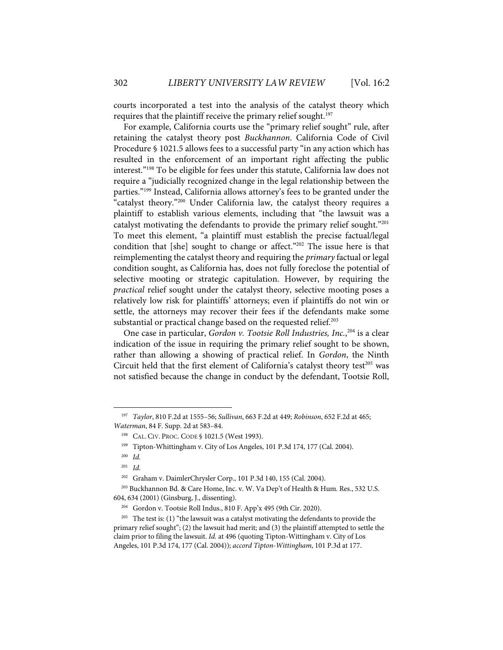courts incorporated a test into the analysis of the catalyst theory which requires that the plaintiff receive the primary relief sought. 197

For example, California courts use the "primary relief sought" rule, after retaining the catalyst theory post *Buckhannon*. California Code of Civil Procedure § 1021.5 allows fees to a successful party "in any action which has resulted in the enforcement of an important right affecting the public interest."198 To be eligible for fees under this statute, California law does not require a "judicially recognized change in the legal relationship between the parties."199 Instead, California allows attorney's fees to be granted under the "catalyst theory."200 Under California law, the catalyst theory requires a plaintiff to establish various elements, including that "the lawsuit was a catalyst motivating the defendants to provide the primary relief sought."201 To meet this element, "a plaintiff must establish the precise factual/legal condition that [she] sought to change or affect."<sup>202</sup> The issue here is that reimplementing the catalyst theory and requiring the *primary* factual or legal condition sought, as California has, does not fully foreclose the potential of selective mooting or strategic capitulation. However, by requiring the *practical* relief sought under the catalyst theory, selective mooting poses a relatively low risk for plaintiffs' attorneys; even if plaintiffs do not win or settle, the attorneys may recover their fees if the defendants make some substantial or practical change based on the requested relief.<sup>203</sup>

One case in particular, *Gordon v. Tootsie Roll Industries, Inc.*, <sup>204</sup> is a clear indication of the issue in requiring the primary relief sought to be shown, rather than allowing a showing of practical relief. In *Gordon*, the Ninth Circuit held that the first element of California's catalyst theory test<sup>205</sup> was not satisfied because the change in conduct by the defendant, Tootsie Roll,

<sup>197</sup> *Taylor*, 810 F.2d at 1555–56; *Sullivan*, 663 F.2d at 449; *Robinson*, 652 F.2d at 465; *Waterman*, 84 F. Supp. 2d at 583–84.

<sup>198</sup> CAL. CIV. PROC. CODE § 1021.5 (West 1993).

<sup>199</sup> Tipton-Whittingham v. City of Los Angeles, 101 P.3d 174, 177 (Cal. 2004).

<sup>200</sup> *Id.*

<sup>201</sup> *Id.*

<sup>202</sup> Graham v. DaimlerChrysler Corp., 101 P.3d 140, 155 (Cal. 2004).

<sup>203</sup> Buckhannon Bd. & Care Home, Inc. v. W. Va Dep't of Health & Hum. Res., 532 U.S. 604, 634 (2001) (Ginsburg, J., dissenting).

<sup>204</sup> Gordon v. Tootsie Roll Indus., 810 F. App'x 495 (9th Cir. 2020).

 $205$  The test is: (1) "the lawsuit was a catalyst motivating the defendants to provide the primary relief sought"; (2) the lawsuit had merit; and (3) the plaintiff attempted to settle the claim prior to filing the lawsuit. *Id.* at 496 (quoting Tipton-Wittingham v. City of Los Angeles, 101 P.3d 174, 177 (Cal. 2004)); *accord Tipton-Wittingham*, 101 P.3d at 177.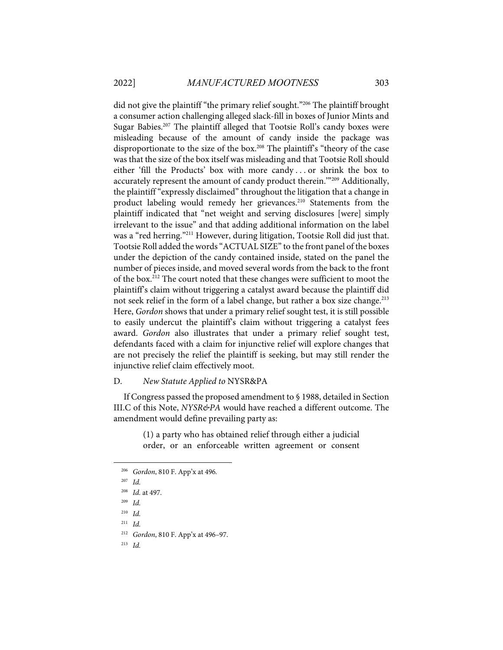did not give the plaintiff "the primary relief sought."206 The plaintiff brought a consumer action challenging alleged slack-fill in boxes of Junior Mints and Sugar Babies. <sup>207</sup> The plaintiff alleged that Tootsie Roll's candy boxes were misleading because of the amount of candy inside the package was disproportionate to the size of the box.<sup>208</sup> The plaintiff's "theory of the case was that the size of the box itself was misleading and that Tootsie Roll should either 'fill the Products' box with more candy . . . or shrink the box to accurately represent the amount of candy product therein.'"209 Additionally, the plaintiff "expressly disclaimed" throughout the litigation that a change in product labeling would remedy her grievances.<sup>210</sup> Statements from the plaintiff indicated that "net weight and serving disclosures [were] simply irrelevant to the issue" and that adding additional information on the label was a "red herring."211 However, during litigation, Tootsie Roll did just that. Tootsie Roll added the words"ACTUAL SIZE" to the front panel of the boxes under the depiction of the candy contained inside, stated on the panel the number of pieces inside, and moved several words from the back to the front of the box.212 The court noted that these changes were sufficient to moot the plaintiff's claim without triggering a catalyst award because the plaintiff did not seek relief in the form of a label change, but rather a box size change.<sup>213</sup> Here, *Gordon* shows that under a primary relief sought test, it is still possible to easily undercut the plaintiff's claim without triggering a catalyst fees award. *Gordon* also illustrates that under a primary relief sought test, defendants faced with a claim for injunctive relief will explore changes that are not precisely the relief the plaintiff is seeking, but may still render the injunctive relief claim effectively moot.

#### D. *New Statute Applied to* NYSR&PA

If Congress passed the proposed amendment to § 1988, detailed in Section III.C of this Note, *NYSR&PA* would have reached a different outcome. The amendment would define prevailing party as:

> (1) a party who has obtained relief through either a judicial order, or an enforceable written agreement or consent

<sup>206</sup> *Gordon*, 810 F. App'x at 496*.*

<sup>207</sup> *Id.*

<sup>208</sup> *Id.* at 497.

<sup>209</sup> *Id.*

<sup>210</sup> *Id.*

<sup>211</sup> *Id.*

<sup>212</sup> *Gordon*, 810 F. App'x at 496–97.

<sup>213</sup> *Id.*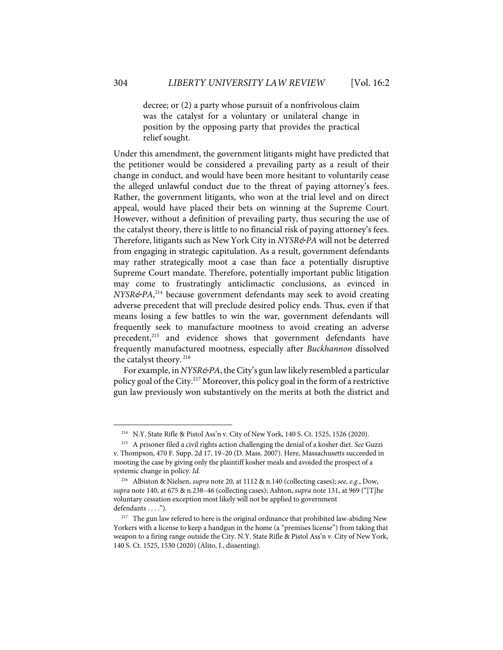decree; or (2) a party whose pursuit of a nonfrivolous claim was the catalyst for a voluntary or unilateral change in position by the opposing party that provides the practical relief sought.

Under this amendment, the government litigants might have predicted that the petitioner would be considered a prevailing party as a result of their change in conduct, and would have been more hesitant to voluntarily cease the alleged unlawful conduct due to the threat of paying attorney's fees. Rather, the government litigants, who won at the trial level and on direct appeal, would have placed their bets on winning at the Supreme Court. However, without a definition of prevailing party, thus securing the use of the catalyst theory, there is little to no financial risk of paying attorney's fees. Therefore, litigants such as New York City in *NYSR&PA* will not be deterred from engaging in strategic capitulation. As a result, government defendants may rather strategically moot a case than face a potentially disruptive Supreme Court mandate. Therefore, potentially important public litigation may come to frustratingly anticlimactic conclusions, as evinced in *NYSR&PA*, <sup>214</sup> because government defendants may seek to avoid creating adverse precedent that will preclude desired policy ends. Thus, even if that means losing a few battles to win the war, government defendants will frequently seek to manufacture mootness to avoid creating an adverse precedent, <sup>215</sup> and evidence shows that government defendants have frequently manufactured mootness, especially after *Buckhannon* dissolved the catalyst theory. <sup>216</sup>

For example, in *NYSR&PA*, the City's gun law likely resembled a particular policy goal of the City.217 Moreover, this policy goal in the form of a restrictive gun law previously won substantively on the merits at both the district and

<sup>214</sup> N.Y. State Rifle & Pistol Ass'n v. City of New York, 140 S. Ct. 1525, 1526 (2020).

<sup>215</sup> A prisoner filed a civil rights action challenging the denial of a kosher diet. *See* Guzzi v. Thompson, 470 F. Supp. 2d 17, 19–20 (D. Mass. 2007). Here, Massachusetts succeeded in mooting the case by giving only the plaintiff kosher meals and avoided the prospect of a systemic change in policy. *Id.*

<sup>216</sup> Albiston & Nielsen, *supra* note 20, at 1112 & n.140 (collecting cases); *see, e.g.*, Dow, *supra* note 140, at 675 & n.238–46 (collecting cases); Ashton, *supra* note 131, at 969 ("[T]he voluntary cessation exception most likely will not be applied to government defendants . . . .").

<sup>&</sup>lt;sup>217</sup> The gun law refered to here is the original ordinance that prohibited law-abiding New Yorkers with a license to keep a handgun in the home (a "premises license") from taking that weapon to a firing range outside the City. N.Y. State Rifle & Pistol Ass'n v. City of New York, 140 S. Ct. 1525, 1530 (2020) (Alito, J., dissenting).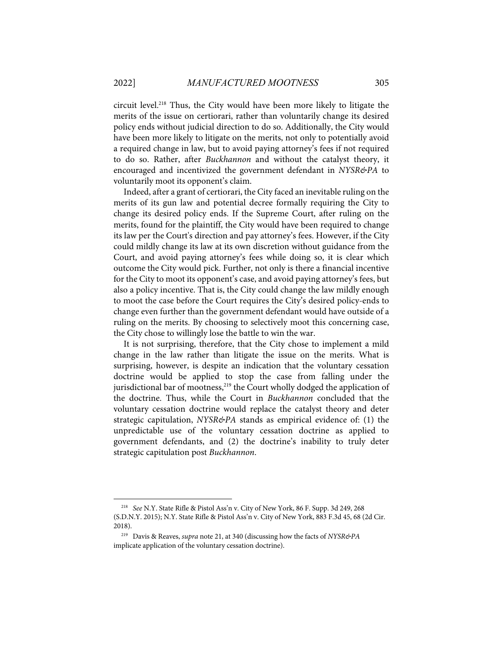circuit level.218 Thus, the City would have been more likely to litigate the merits of the issue on certiorari, rather than voluntarily change its desired policy ends without judicial direction to do so. Additionally, the City would have been more likely to litigate on the merits, not only to potentially avoid a required change in law, but to avoid paying attorney's fees if not required to do so. Rather, after *Buckhannon* and without the catalyst theory, it encouraged and incentivized the government defendant in *NYSR&PA* to voluntarily moot its opponent's claim.

Indeed, after a grant of certiorari, the City faced an inevitable ruling on the merits of its gun law and potential decree formally requiring the City to change its desired policy ends. If the Supreme Court, after ruling on the merits, found for the plaintiff, the City would have been required to change its law per the Court's direction and pay attorney's fees. However, if the City could mildly change its law at its own discretion without guidance from the Court, and avoid paying attorney's fees while doing so, it is clear which outcome the City would pick. Further, not only is there a financial incentive for the City to moot its opponent's case, and avoid paying attorney's fees, but also a policy incentive. That is, the City could change the law mildly enough to moot the case before the Court requires the City's desired policy-ends to change even further than the government defendant would have outside of a ruling on the merits. By choosing to selectively moot this concerning case, the City chose to willingly lose the battle to win the war.

It is not surprising, therefore, that the City chose to implement a mild change in the law rather than litigate the issue on the merits. What is surprising, however, is despite an indication that the voluntary cessation doctrine would be applied to stop the case from falling under the jurisdictional bar of mootness, <sup>219</sup> the Court wholly dodged the application of the doctrine. Thus, while the Court in *Buckhannon* concluded that the voluntary cessation doctrine would replace the catalyst theory and deter strategic capitulation, *NYSR&PA* stands as empirical evidence of: (1) the unpredictable use of the voluntary cessation doctrine as applied to government defendants, and (2) the doctrine's inability to truly deter strategic capitulation post *Buckhannon*.

<sup>218</sup> *See* N.Y. State Rifle & Pistol Ass'n v. City of New York, 86 F. Supp. 3d 249, 268 (S.D.N.Y. 2015); N.Y. State Rifle & Pistol Ass'n v. City of New York, 883 F.3d 45, 68 (2d Cir. 2018).

<sup>219</sup> Davis & Reaves, *supra* note 21, at 340 (discussing how the facts of *NYSR&PA*  implicate application of the voluntary cessation doctrine).